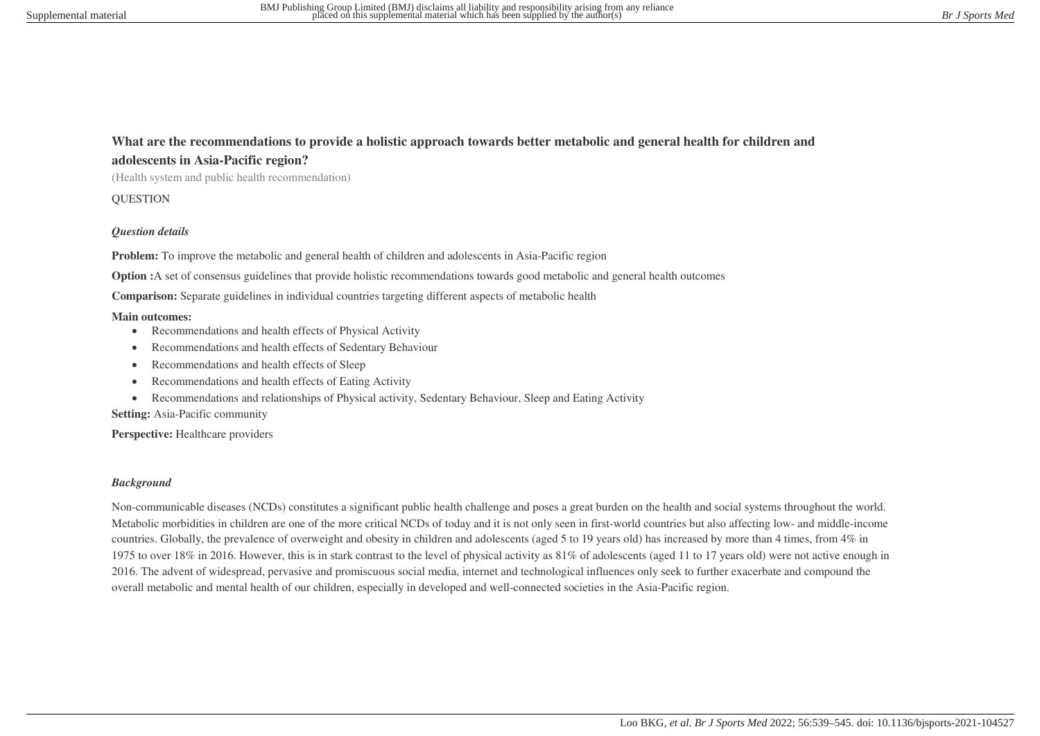## **What are the recommendations to provide a holistic approach towards better metabolic and general health for children and adolescents in Asia-Pacific region?**

(Health system and public health recommendation)

**OUESTION** 

#### *Question details*

**Problem:** To improve the metabolic and general health of children and adolescents in Asia-Pacific region

**Option :**A set of consensus guidelines that provide holistic recommendations towards good metabolic and general health outcomes

**Comparison:** Separate guidelines in individual countries targeting different aspects of metabolic health

#### **Main outcomes:**

- Recommendations and health effects of Physical Activity
- Recommendations and health effects of Sedentary Behaviour
- Recommendations and health effects of Sleep
- Recommendations and health effects of Eating Activity
- Recommendations and relationships of Physical activity, Sedentary Behaviour, Sleep and Eating Activity

**Setting:** Asia-Pacific community

Perspective: Healthcare providers

#### *Background*

Non-communicable diseases (NCDs) constitutes a significant public health challenge and poses a great burden on the health and social systems throughout the world. Metabolic morbidities in children are one of the more critical NCDs of today and it is not only seen in first-world countries but also affecting low- and middle-income countries. Globally, the prevalence of overweight and obesity in children and adolescents (aged 5 to 19 years old) has increased by more than 4 times, from 4% in 1975 to over 18% in 2016. However, this is in stark contrast to the level of physical activity as 81% of adolescents (aged 11 to 17 years old) were not active enough in 2016. The advent of widespread, pervasive and promiscuous social media, internet and technological influences only seek to further exacerbate and compound the overall metabolic and mental health of our children, especially in developed and well-connected societies in the Asia-Pacific region.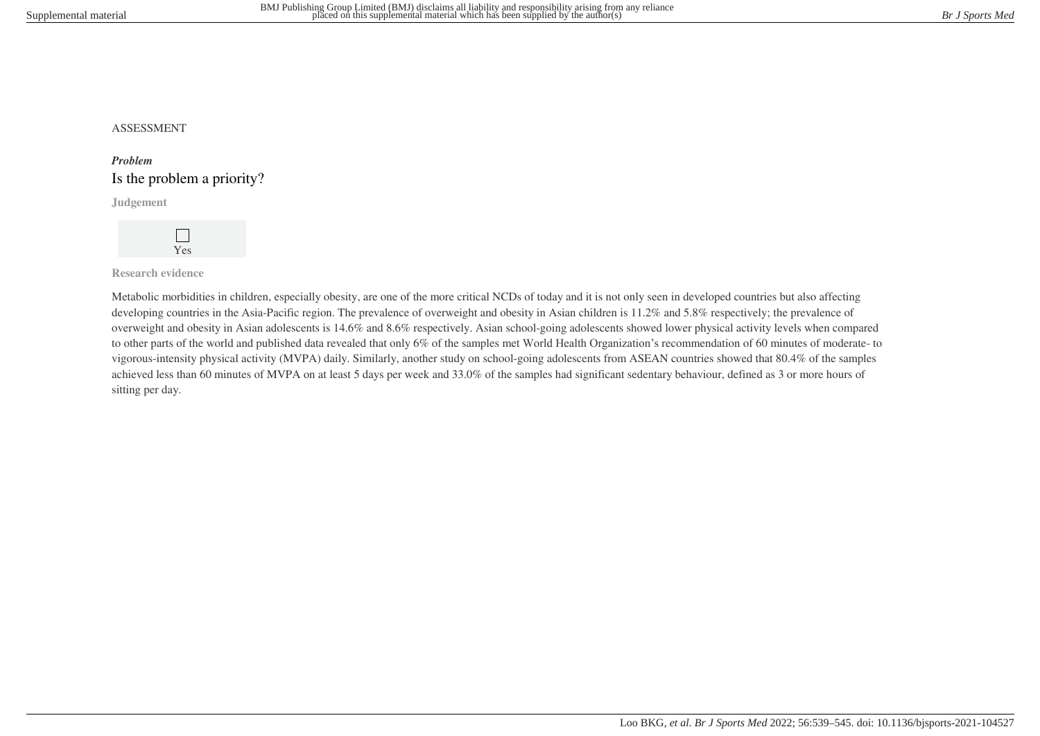### ASSESSMENT

# *Problem* Is the problem a priority?

**Judgement**



**Research evidence**

Metabolic morbidities in children, especially obesity, are one of the more critical NCDs of today and it is not only seen in developed countries but also affecting developing countries in the Asia-Pacific region. The prevalence of overweight and obesity in Asian children is 11.2% and 5.8% respectively; the prevalence of overweight and obesity in Asian adolescents is 14.6% and 8.6% respectively. Asian school-going adolescents showed lower physical activity levels when compared to other parts of the world and published data revealed that only 6% of the samples met World Health Organization's recommendation of 60 minutes of moderate- to vigorous-intensity physical activity (MVPA) daily. Similarly, another study on school-going adolescents from ASEAN countries showed that 80.4% of the samples achieved less than 60 minutes of MVPA on at least 5 days per week and 33.0% of the samples had significant sedentary behaviour, defined as 3 or more hours of sitting per day.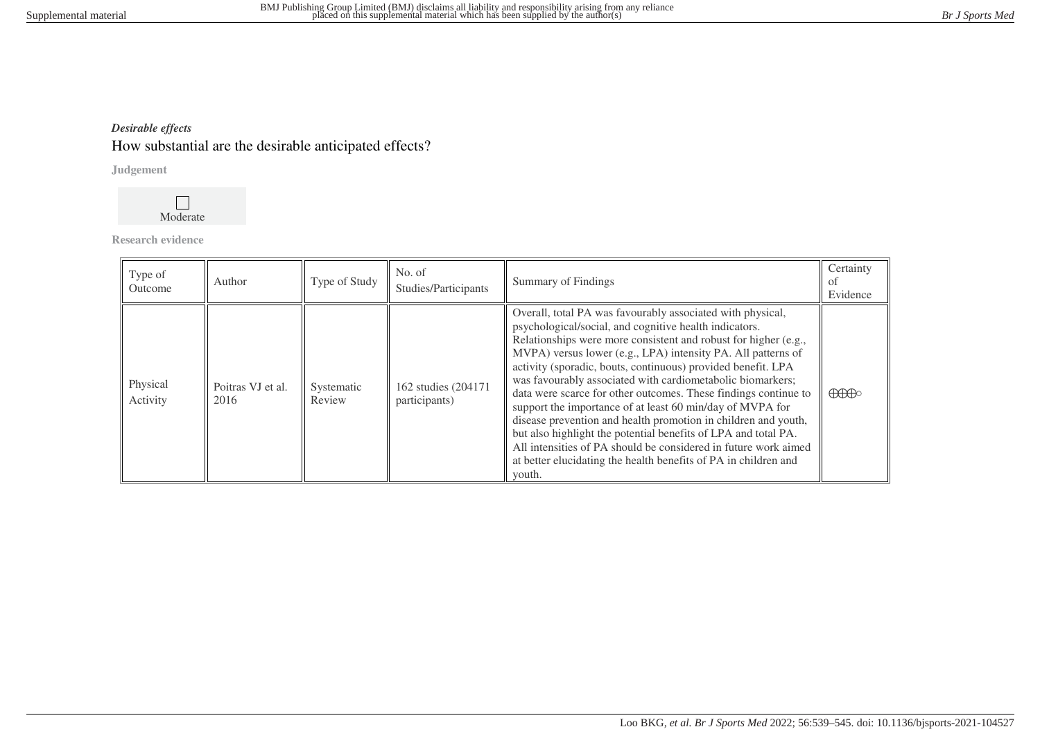# *Desirable effects*

# How substantial are the desirable anticipated effects?

**Judgement**



**Research evidence**

| Type of<br>Outcome   | Author                    | Type of Study        | No. of<br>Studies/Participants       | Summary of Findings                                                                                                                                                                                                                                                                                                                                                                                                                                                                                                                                                                                                                                                                                                                                                                                       | Certainty<br>of<br>Evidence          |
|----------------------|---------------------------|----------------------|--------------------------------------|-----------------------------------------------------------------------------------------------------------------------------------------------------------------------------------------------------------------------------------------------------------------------------------------------------------------------------------------------------------------------------------------------------------------------------------------------------------------------------------------------------------------------------------------------------------------------------------------------------------------------------------------------------------------------------------------------------------------------------------------------------------------------------------------------------------|--------------------------------------|
| Physical<br>Activity | Poitras VJ et al.<br>2016 | Systematic<br>Review | 162 studies (204171<br>participants) | Overall, total PA was favourably associated with physical,<br>psychological/social, and cognitive health indicators.<br>Relationships were more consistent and robust for higher (e.g.,<br>MVPA) versus lower (e.g., LPA) intensity PA. All patterns of<br>activity (sporadic, bouts, continuous) provided benefit. LPA<br>was favourably associated with cardiometabolic biomarkers;<br>data were scarce for other outcomes. These findings continue to<br>support the importance of at least 60 min/day of MVPA for<br>disease prevention and health promotion in children and youth,<br>but also highlight the potential benefits of LPA and total PA.<br>All intensities of PA should be considered in future work aimed<br>at better elucidating the health benefits of PA in children and<br>youth. | $\bigoplus\hspace{-0.15cm}\bigoplus$ |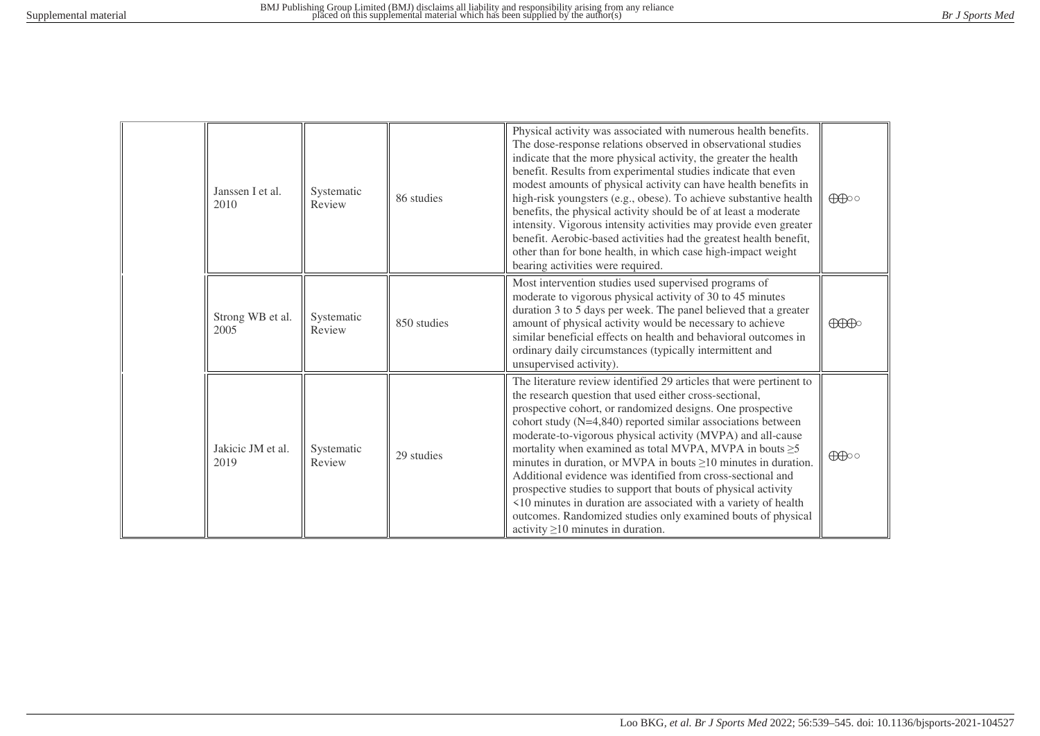| Janssen I et al.<br>2010  | Systematic<br>Review | 86 studies  | Physical activity was associated with numerous health benefits.<br>The dose-response relations observed in observational studies<br>indicate that the more physical activity, the greater the health<br>benefit. Results from experimental studies indicate that even<br>modest amounts of physical activity can have health benefits in<br>high-risk youngsters (e.g., obese). To achieve substantive health<br>benefits, the physical activity should be of at least a moderate<br>intensity. Vigorous intensity activities may provide even greater<br>benefit. Aerobic-based activities had the greatest health benefit,<br>other than for bone health, in which case high-impact weight<br>bearing activities were required.                                                     | $\bigoplus$                          |
|---------------------------|----------------------|-------------|---------------------------------------------------------------------------------------------------------------------------------------------------------------------------------------------------------------------------------------------------------------------------------------------------------------------------------------------------------------------------------------------------------------------------------------------------------------------------------------------------------------------------------------------------------------------------------------------------------------------------------------------------------------------------------------------------------------------------------------------------------------------------------------|--------------------------------------|
| Strong WB et al.<br>2005  | Systematic<br>Review | 850 studies | Most intervention studies used supervised programs of<br>moderate to vigorous physical activity of 30 to 45 minutes<br>duration 3 to 5 days per week. The panel believed that a greater<br>amount of physical activity would be necessary to achieve<br>similar beneficial effects on health and behavioral outcomes in<br>ordinary daily circumstances (typically intermittent and<br>unsupervised activity).                                                                                                                                                                                                                                                                                                                                                                        | $\bigoplus\hspace{-0.18cm}\bigoplus$ |
| Jakicic JM et al.<br>2019 | Systematic<br>Review | 29 studies  | The literature review identified 29 articles that were pertinent to<br>the research question that used either cross-sectional,<br>prospective cohort, or randomized designs. One prospective<br>cohort study $(N=4,840)$ reported similar associations between<br>moderate-to-vigorous physical activity (MVPA) and all-cause<br>mortality when examined as total MVPA, MVPA in bouts $\geq$ 5<br>minutes in duration, or MVPA in bouts $\geq$ 10 minutes in duration.<br>Additional evidence was identified from cross-sectional and<br>prospective studies to support that bouts of physical activity<br><10 minutes in duration are associated with a variety of health<br>outcomes. Randomized studies only examined bouts of physical<br>activity $\geq$ 10 minutes in duration. | $\bigoplus$                          |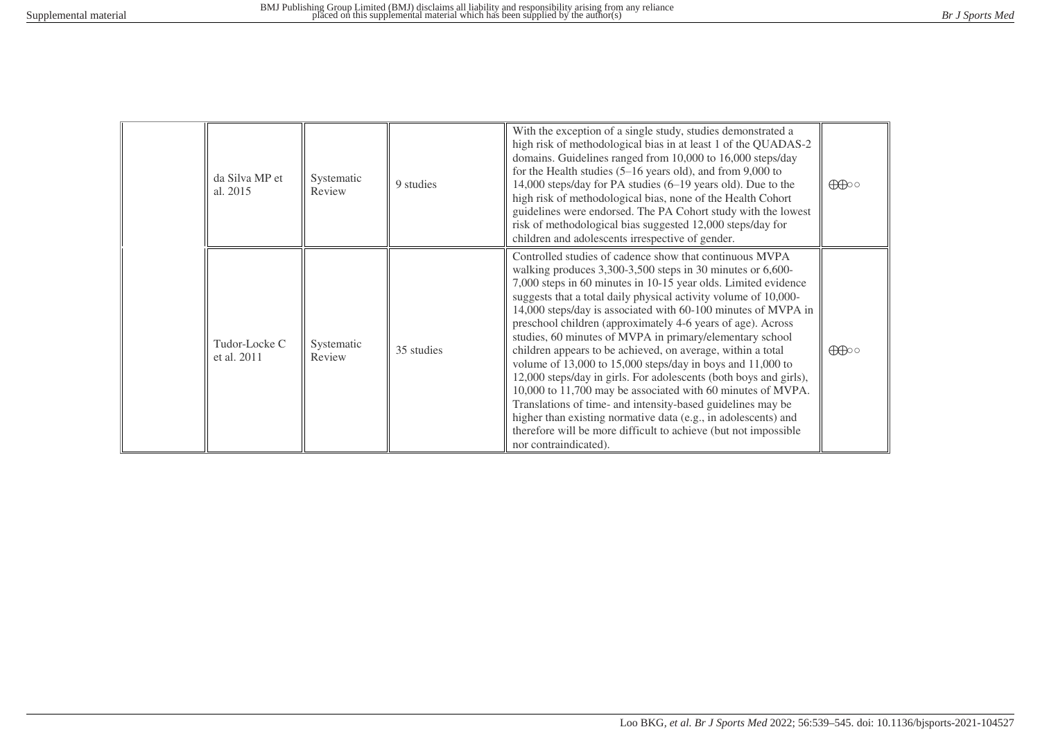| da Silva MP et<br>al. 2015   | Systematic<br>Review | 9 studies  | With the exception of a single study, studies demonstrated a<br>high risk of methodological bias in at least 1 of the QUADAS-2<br>domains. Guidelines ranged from 10,000 to 16,000 steps/day<br>for the Health studies $(5-16$ years old), and from 9,000 to<br>14,000 steps/day for PA studies (6-19 years old). Due to the<br>high risk of methodological bias, none of the Health Cohort<br>guidelines were endorsed. The PA Cohort study with the lowest<br>risk of methodological bias suggested 12,000 steps/day for<br>children and adolescents irrespective of gender.                                                                                                                                                                                                                                                                                                                                                                             | $\bigoplus$ |
|------------------------------|----------------------|------------|------------------------------------------------------------------------------------------------------------------------------------------------------------------------------------------------------------------------------------------------------------------------------------------------------------------------------------------------------------------------------------------------------------------------------------------------------------------------------------------------------------------------------------------------------------------------------------------------------------------------------------------------------------------------------------------------------------------------------------------------------------------------------------------------------------------------------------------------------------------------------------------------------------------------------------------------------------|-------------|
| Tudor-Locke C<br>et al. 2011 | Systematic<br>Review | 35 studies | Controlled studies of cadence show that continuous MVPA<br>walking produces 3,300-3,500 steps in 30 minutes or 6,600-<br>7,000 steps in 60 minutes in 10-15 year olds. Limited evidence<br>suggests that a total daily physical activity volume of 10,000-<br>14,000 steps/day is associated with 60-100 minutes of MVPA in<br>preschool children (approximately 4-6 years of age). Across<br>studies, 60 minutes of MVPA in primary/elementary school<br>children appears to be achieved, on average, within a total<br>volume of $13,000$ to $15,000$ steps/day in boys and $11,000$ to<br>12,000 steps/day in girls. For adolescents (both boys and girls),<br>10,000 to 11,700 may be associated with 60 minutes of MVPA.<br>Translations of time- and intensity-based guidelines may be<br>higher than existing normative data (e.g., in adolescents) and<br>therefore will be more difficult to achieve (but not impossible<br>nor contraindicated). | $\bigoplus$ |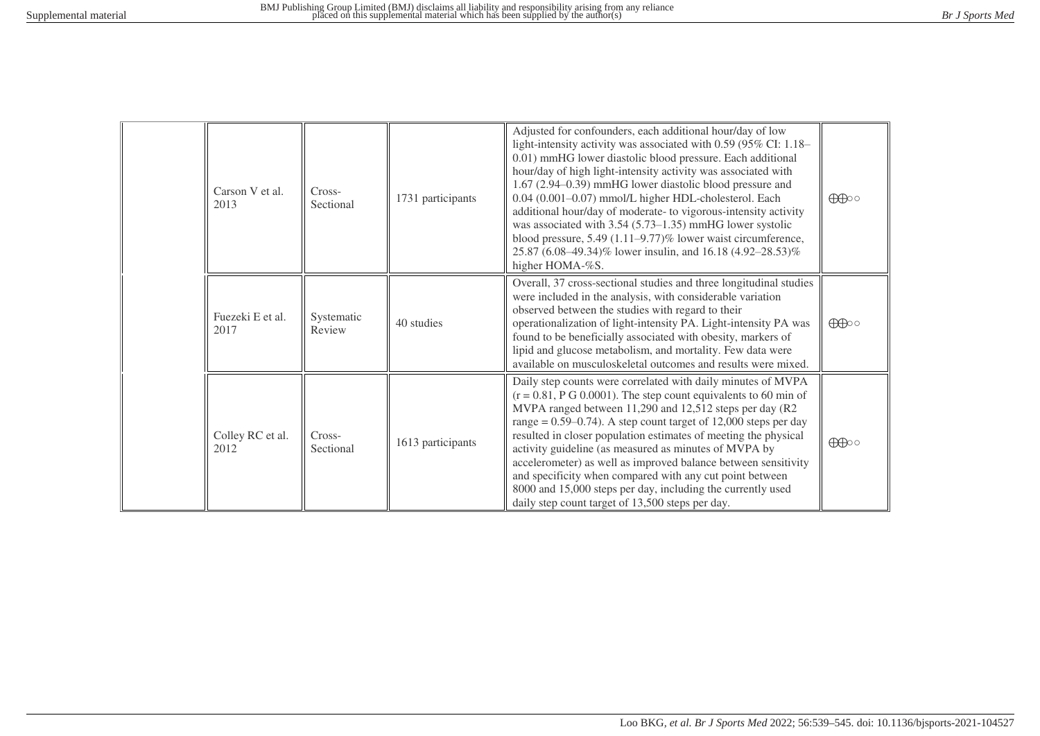| Carson V et al.<br>2013  | Cross-<br>Sectional  | 1731 participants | Adjusted for confounders, each additional hour/day of low<br>light-intensity activity was associated with 0.59 (95% CI: 1.18–<br>0.01) mmHG lower diastolic blood pressure. Each additional<br>hour/day of high light-intensity activity was associated with<br>1.67 (2.94–0.39) mmHG lower diastolic blood pressure and<br>0.04 (0.001-0.07) mmol/L higher HDL-cholesterol. Each<br>additional hour/day of moderate- to vigorous-intensity activity<br>was associated with 3.54 (5.73–1.35) mmHG lower systolic<br>blood pressure, 5.49 (1.11-9.77)% lower waist circumference,<br>25.87 (6.08–49.34)% lower insulin, and 16.18 (4.92–28.53)%<br>higher HOMA-%S. | $\bigoplus\limits_{\circ\circ}$ |
|--------------------------|----------------------|-------------------|-------------------------------------------------------------------------------------------------------------------------------------------------------------------------------------------------------------------------------------------------------------------------------------------------------------------------------------------------------------------------------------------------------------------------------------------------------------------------------------------------------------------------------------------------------------------------------------------------------------------------------------------------------------------|---------------------------------|
| Fuezeki E et al.<br>2017 | Systematic<br>Review | 40 studies        | Overall, 37 cross-sectional studies and three longitudinal studies<br>were included in the analysis, with considerable variation<br>observed between the studies with regard to their<br>operationalization of light-intensity PA. Light-intensity PA was<br>found to be beneficially associated with obesity, markers of<br>lipid and glucose metabolism, and mortality. Few data were<br>available on musculoskeletal outcomes and results were mixed.                                                                                                                                                                                                          | $\bigoplus$                     |
| Colley RC et al.<br>2012 | Cross-<br>Sectional  | 1613 participants | Daily step counts were correlated with daily minutes of MVPA<br>$(r = 0.81, P G 0.0001)$ . The step count equivalents to 60 min of<br>MVPA ranged between 11,290 and 12,512 steps per day (R2<br>range = $0.59-0.74$ ). A step count target of 12,000 steps per day<br>resulted in closer population estimates of meeting the physical<br>activity guideline (as measured as minutes of MVPA by<br>accelerometer) as well as improved balance between sensitivity<br>and specificity when compared with any cut point between<br>8000 and 15,000 steps per day, including the currently used<br>daily step count target of 13,500 steps per day.                  | $\bigoplus$                     |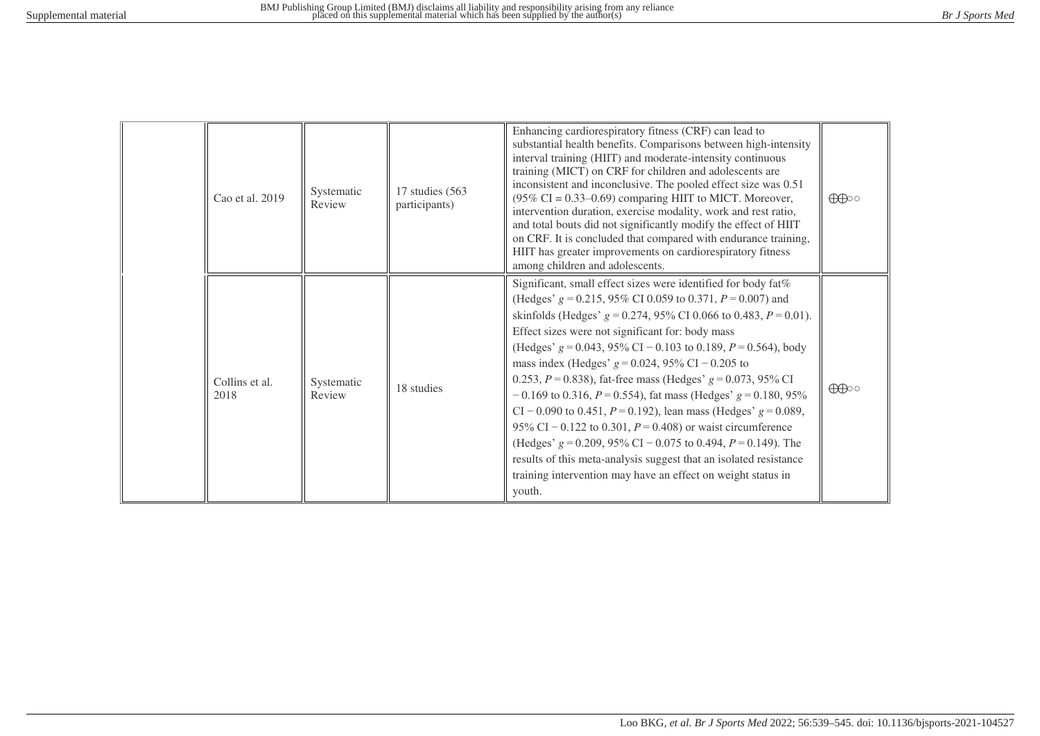| Cao et al. 2019        | Systematic<br>Review | 17 studies (563)<br>participants) | Enhancing cardiorespiratory fitness (CRF) can lead to<br>substantial health benefits. Comparisons between high-intensity<br>interval training (HIIT) and moderate-intensity continuous<br>training (MICT) on CRF for children and adolescents are<br>inconsistent and inconclusive. The pooled effect size was 0.51<br>$(95\% \text{ CI} = 0.33 - 0.69)$ comparing HIIT to MICT. Moreover,<br>intervention duration, exercise modality, work and rest ratio,<br>and total bouts did not significantly modify the effect of HIIT<br>on CRF. It is concluded that compared with endurance training,<br>HIIT has greater improvements on cardiorespiratory fitness<br>among children and adolescents.                                                                                                                                                                                                      | $\bigoplus$ |
|------------------------|----------------------|-----------------------------------|---------------------------------------------------------------------------------------------------------------------------------------------------------------------------------------------------------------------------------------------------------------------------------------------------------------------------------------------------------------------------------------------------------------------------------------------------------------------------------------------------------------------------------------------------------------------------------------------------------------------------------------------------------------------------------------------------------------------------------------------------------------------------------------------------------------------------------------------------------------------------------------------------------|-------------|
| Collins et al.<br>2018 | Systematic<br>Review | 18 studies                        | Significant, small effect sizes were identified for body fat%<br>(Hedges' $g = 0.215$ , 95% CI 0.059 to 0.371, $P = 0.007$ ) and<br>skinfolds (Hedges' $g = 0.274$ , 95% CI 0.066 to 0.483, $P = 0.01$ ).<br>Effect sizes were not significant for: body mass<br>(Hedges' $g = 0.043$ , 95% CI – 0.103 to 0.189, $P = 0.564$ ), body<br>mass index (Hedges' $g = 0.024$ , 95% CI – 0.205 to<br>0.253, $P = 0.838$ ), fat-free mass (Hedges' $g = 0.073$ , 95% CI<br>$-0.169$ to 0.316, $P = 0.554$ ), fat mass (Hedges' $g = 0.180, 95\%$<br>CI – 0.090 to 0.451, $P = 0.192$ ), lean mass (Hedges' $g = 0.089$ ,<br>95% CI – 0.122 to 0.301, $P = 0.408$ ) or waist circumference<br>(Hedges' $g = 0.209$ , 95% CI – 0.075 to 0.494, $P = 0.149$ ). The<br>results of this meta-analysis suggest that an isolated resistance<br>training intervention may have an effect on weight status in<br>youth. | $\bigoplus$ |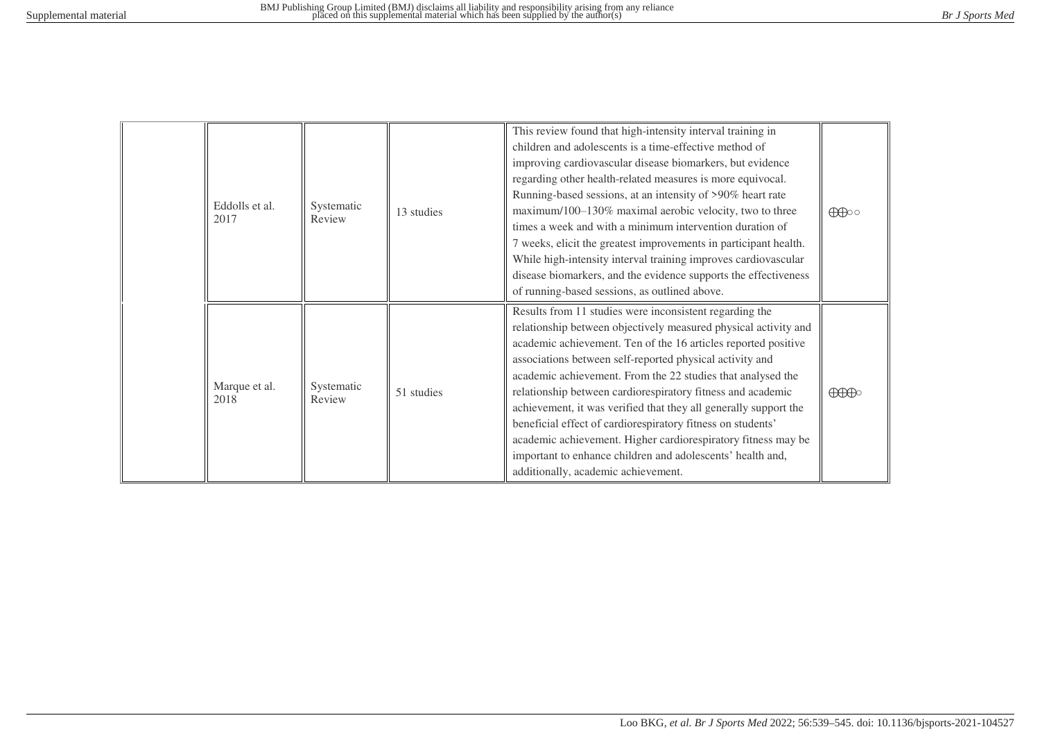| Eddolls et al.<br>2017 | Systematic<br>Review | 13 studies | This review found that high-intensity interval training in<br>children and adolescents is a time-effective method of<br>improving cardiovascular disease biomarkers, but evidence<br>regarding other health-related measures is more equivocal.<br>Running-based sessions, at an intensity of >90% heart rate<br>maximum/100-130% maximal aerobic velocity, two to three<br>times a week and with a minimum intervention duration of<br>7 weeks, elicit the greatest improvements in participant health.<br>While high-intensity interval training improves cardiovascular<br>disease biomarkers, and the evidence supports the effectiveness<br>of running-based sessions, as outlined above.  | $\bigoplus$                          |
|------------------------|----------------------|------------|-------------------------------------------------------------------------------------------------------------------------------------------------------------------------------------------------------------------------------------------------------------------------------------------------------------------------------------------------------------------------------------------------------------------------------------------------------------------------------------------------------------------------------------------------------------------------------------------------------------------------------------------------------------------------------------------------|--------------------------------------|
| Marque et al.<br>2018  | Systematic<br>Review | 51 studies | Results from 11 studies were inconsistent regarding the<br>relationship between objectively measured physical activity and<br>academic achievement. Ten of the 16 articles reported positive<br>associations between self-reported physical activity and<br>academic achievement. From the 22 studies that analysed the<br>relationship between cardiorespiratory fitness and academic<br>achievement, it was verified that they all generally support the<br>beneficial effect of cardiorespiratory fitness on students'<br>academic achievement. Higher cardiorespiratory fitness may be<br>important to enhance children and adolescents' health and,<br>additionally, academic achievement. | $\bigoplus\hspace{-0.15cm}\bigoplus$ |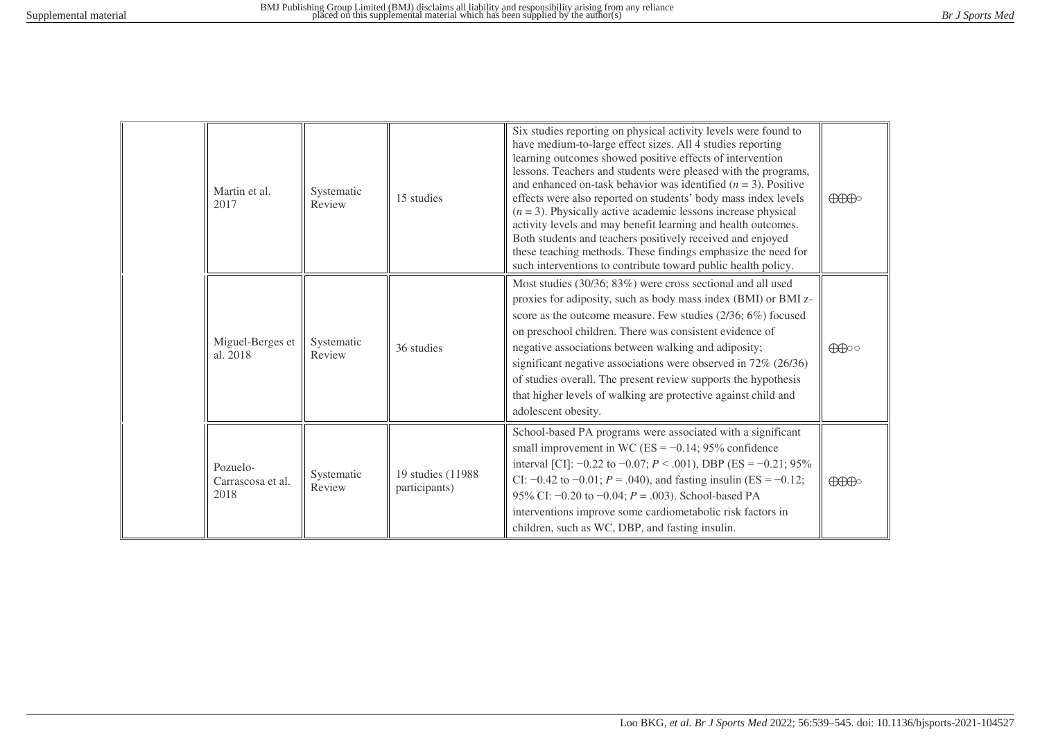| Martin et al.<br>2017                 | Systematic<br>Review | 15 studies                          | Six studies reporting on physical activity levels were found to<br>have medium-to-large effect sizes. All 4 studies reporting<br>learning outcomes showed positive effects of intervention<br>lessons. Teachers and students were pleased with the programs,<br>and enhanced on-task behavior was identified $(n = 3)$ . Positive<br>effects were also reported on students' body mass index levels<br>$(n = 3)$ . Physically active academic lessons increase physical<br>activity levels and may benefit learning and health outcomes.<br>Both students and teachers positively received and enjoyed<br>these teaching methods. These findings emphasize the need for<br>such interventions to contribute toward public health policy. | $\bigoplus\hspace{-0.18cm}\bigoplus$ |
|---------------------------------------|----------------------|-------------------------------------|------------------------------------------------------------------------------------------------------------------------------------------------------------------------------------------------------------------------------------------------------------------------------------------------------------------------------------------------------------------------------------------------------------------------------------------------------------------------------------------------------------------------------------------------------------------------------------------------------------------------------------------------------------------------------------------------------------------------------------------|--------------------------------------|
| Miguel-Berges et<br>al. 2018          | Systematic<br>Review | 36 studies                          | Most studies (30/36; 83%) were cross sectional and all used<br>proxies for adiposity, such as body mass index (BMI) or BMI z-<br>score as the outcome measure. Few studies (2/36; 6%) focused<br>on preschool children. There was consistent evidence of<br>negative associations between walking and adiposity;<br>significant negative associations were observed in 72% (26/36)<br>of studies overall. The present review supports the hypothesis<br>that higher levels of walking are protective against child and<br>adolescent obesity.                                                                                                                                                                                            | $\bigoplus$                          |
| Pozuelo-<br>Carrascosa et al.<br>2018 | Systematic<br>Review | 19 studies (11988)<br>participants) | School-based PA programs were associated with a significant<br>small improvement in WC (ES = $-0.14$ ; 95% confidence<br>interval [CI]: $-0.22$ to $-0.07$ ; $P < .001$ ), DBP (ES = $-0.21$ ; 95%<br>CI: $-0.42$ to $-0.01$ ; $P = .040$ ), and fasting insulin (ES = $-0.12$ ;<br>95% CI: $-0.20$ to $-0.04$ ; $P = .003$ ). School-based PA<br>interventions improve some cardiometabolic risk factors in<br>children, such as WC, DBP, and fasting insulin.                                                                                                                                                                                                                                                                          | $\bigoplus\hspace{-0.15cm}\bigoplus$ |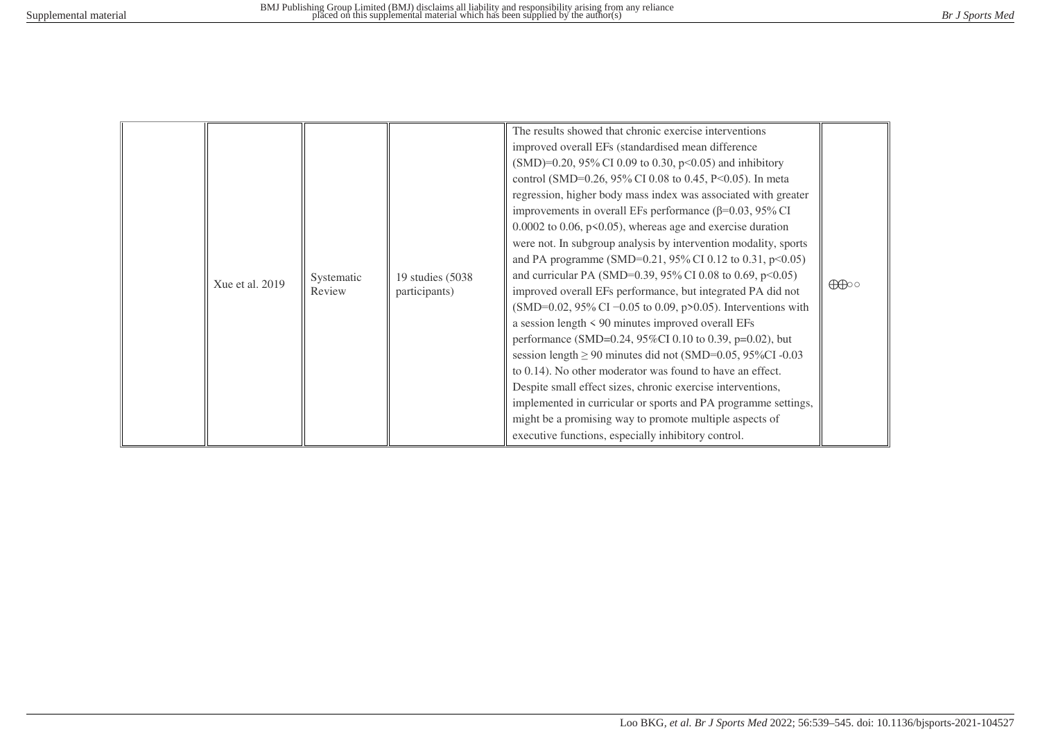|  | Xue et al. 2019 | Systematic<br>Review | 19 studies (5038)<br>participants) | The results showed that chronic exercise interventions<br>improved overall EFs (standardised mean difference<br>$(SMD)=0.20, 95\% \text{ CI } 0.09 \text{ to } 0.30, p<0.05$ and inhibitory<br>control (SMD=0.26, 95% CI 0.08 to 0.45, P<0.05). In meta<br>regression, higher body mass index was associated with greater<br>improvements in overall EFs performance ( $\beta$ =0.03, 95% CI<br>$0.0002$ to 0.06, p<0.05), whereas age and exercise duration<br>were not. In subgroup analysis by intervention modality, sports<br>and PA programme (SMD=0.21, 95% CI 0.12 to 0.31, $p<0.05$ )<br>and curricular PA (SMD=0.39, 95% CI 0.08 to 0.69, $p<0.05$ )<br>improved overall EFs performance, but integrated PA did not<br>(SMD=0.02, 95% CI -0.05 to 0.09, p>0.05). Interventions with<br>a session length $\leq 90$ minutes improved overall EFs<br>performance (SMD=0.24, 95%CI 0.10 to 0.39, p=0.02), but<br>session length $\geq$ 90 minutes did not (SMD=0.05, 95%CI -0.03<br>to 0.14). No other moderator was found to have an effect.<br>Despite small effect sizes, chronic exercise interventions,<br>implemented in curricular or sports and PA programme settings,<br>might be a promising way to promote multiple aspects of<br>executive functions, especially inhibitory control. | $\bigoplus$ |
|--|-----------------|----------------------|------------------------------------|--------------------------------------------------------------------------------------------------------------------------------------------------------------------------------------------------------------------------------------------------------------------------------------------------------------------------------------------------------------------------------------------------------------------------------------------------------------------------------------------------------------------------------------------------------------------------------------------------------------------------------------------------------------------------------------------------------------------------------------------------------------------------------------------------------------------------------------------------------------------------------------------------------------------------------------------------------------------------------------------------------------------------------------------------------------------------------------------------------------------------------------------------------------------------------------------------------------------------------------------------------------------------------------------------------|-------------|
|--|-----------------|----------------------|------------------------------------|--------------------------------------------------------------------------------------------------------------------------------------------------------------------------------------------------------------------------------------------------------------------------------------------------------------------------------------------------------------------------------------------------------------------------------------------------------------------------------------------------------------------------------------------------------------------------------------------------------------------------------------------------------------------------------------------------------------------------------------------------------------------------------------------------------------------------------------------------------------------------------------------------------------------------------------------------------------------------------------------------------------------------------------------------------------------------------------------------------------------------------------------------------------------------------------------------------------------------------------------------------------------------------------------------------|-------------|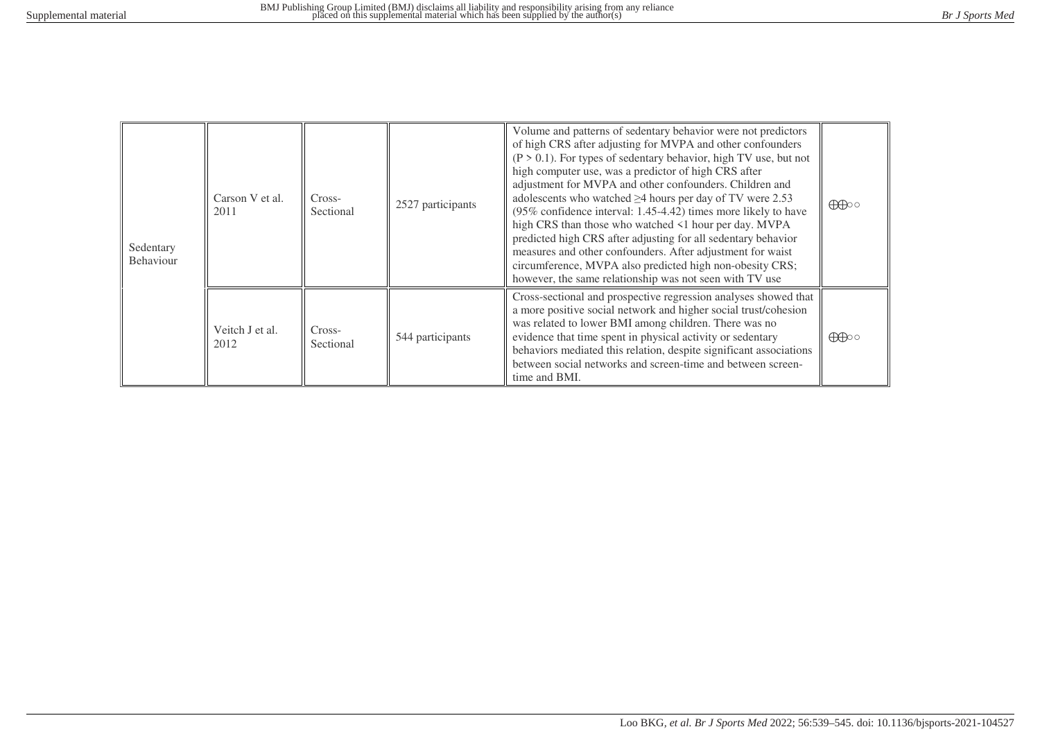| Sedentary<br>Behaviour | Carson V et al.<br>2011 | Cross-<br>Sectional | 2527 participants | Volume and patterns of sedentary behavior were not predictors<br>of high CRS after adjusting for MVPA and other confounders<br>$(P > 0.1)$ . For types of sedentary behavior, high TV use, but not<br>high computer use, was a predictor of high CRS after<br>adjustment for MVPA and other confounders. Children and<br>adolescents who watched $\geq$ 4 hours per day of TV were 2.53<br>(95% confidence interval: 1.45-4.42) times more likely to have<br>high CRS than those who watched <1 hour per day. MVPA<br>predicted high CRS after adjusting for all sedentary behavior<br>measures and other confounders. After adjustment for waist<br>circumference, MVPA also predicted high non-obesity CRS;<br>however, the same relationship was not seen with TV use | $\bigoplus$ |
|------------------------|-------------------------|---------------------|-------------------|--------------------------------------------------------------------------------------------------------------------------------------------------------------------------------------------------------------------------------------------------------------------------------------------------------------------------------------------------------------------------------------------------------------------------------------------------------------------------------------------------------------------------------------------------------------------------------------------------------------------------------------------------------------------------------------------------------------------------------------------------------------------------|-------------|
|                        | Veitch J et al.<br>2012 | Cross-<br>Sectional | 544 participants  | Cross-sectional and prospective regression analyses showed that<br>a more positive social network and higher social trust/cohesion<br>was related to lower BMI among children. There was no<br>evidence that time spent in physical activity or sedentary<br>behaviors mediated this relation, despite significant associations<br>between social networks and screen-time and between screen-<br>time and BMI.                                                                                                                                                                                                                                                                                                                                                          | $\bigoplus$ |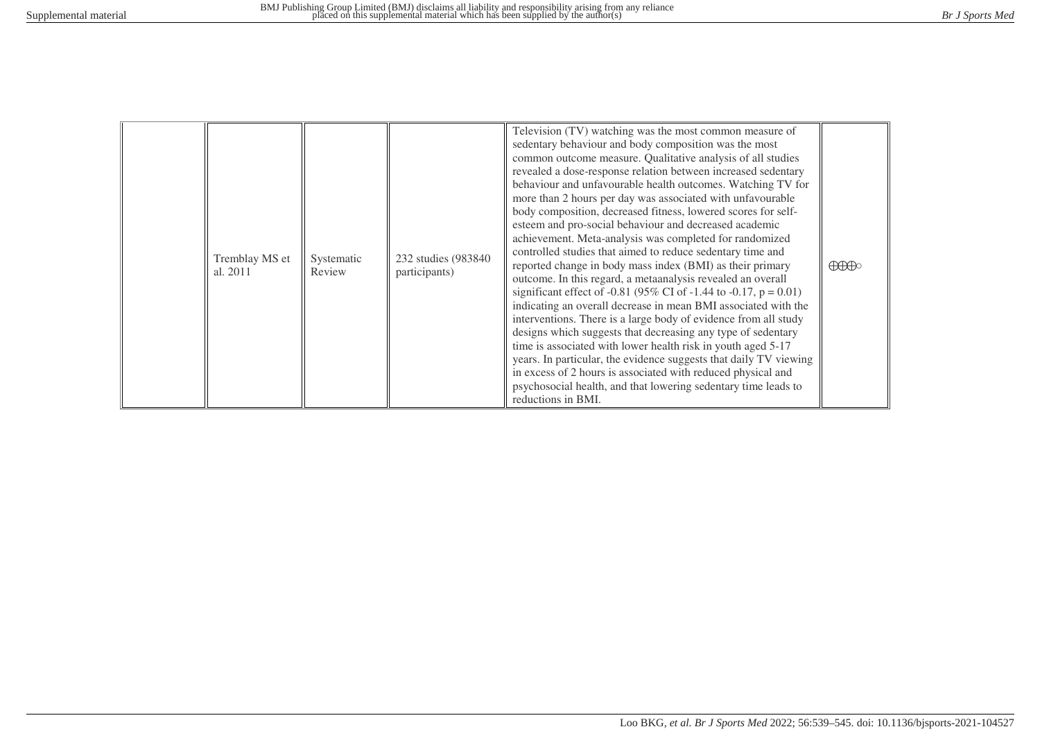|  | Tremblay MS et<br>al. 2011 | Systematic<br>Review | 232 studies (983840)<br>participants) | Television (TV) watching was the most common measure of<br>sedentary behaviour and body composition was the most<br>common outcome measure. Qualitative analysis of all studies<br>revealed a dose-response relation between increased sedentary<br>behaviour and unfavourable health outcomes. Watching TV for<br>more than 2 hours per day was associated with unfavourable<br>body composition, decreased fitness, lowered scores for self-<br>esteem and pro-social behaviour and decreased academic<br>achievement. Meta-analysis was completed for randomized<br>controlled studies that aimed to reduce sedentary time and<br>reported change in body mass index (BMI) as their primary<br>outcome. In this regard, a metaanalysis revealed an overall<br>significant effect of -0.81 (95% CI of -1.44 to -0.17, $p = 0.01$ )<br>indicating an overall decrease in mean BMI associated with the<br>interventions. There is a large body of evidence from all study<br>designs which suggests that decreasing any type of sedentary<br>time is associated with lower health risk in youth aged 5-17<br>years. In particular, the evidence suggests that daily TV viewing<br>in excess of 2 hours is associated with reduced physical and<br>psychosocial health, and that lowering sedentary time leads to<br>reductions in BMI. | $\bigoplus\hspace{-0.15cm}\bigoplus$ |
|--|----------------------------|----------------------|---------------------------------------|----------------------------------------------------------------------------------------------------------------------------------------------------------------------------------------------------------------------------------------------------------------------------------------------------------------------------------------------------------------------------------------------------------------------------------------------------------------------------------------------------------------------------------------------------------------------------------------------------------------------------------------------------------------------------------------------------------------------------------------------------------------------------------------------------------------------------------------------------------------------------------------------------------------------------------------------------------------------------------------------------------------------------------------------------------------------------------------------------------------------------------------------------------------------------------------------------------------------------------------------------------------------------------------------------------------------------------------|--------------------------------------|
|--|----------------------------|----------------------|---------------------------------------|----------------------------------------------------------------------------------------------------------------------------------------------------------------------------------------------------------------------------------------------------------------------------------------------------------------------------------------------------------------------------------------------------------------------------------------------------------------------------------------------------------------------------------------------------------------------------------------------------------------------------------------------------------------------------------------------------------------------------------------------------------------------------------------------------------------------------------------------------------------------------------------------------------------------------------------------------------------------------------------------------------------------------------------------------------------------------------------------------------------------------------------------------------------------------------------------------------------------------------------------------------------------------------------------------------------------------------------|--------------------------------------|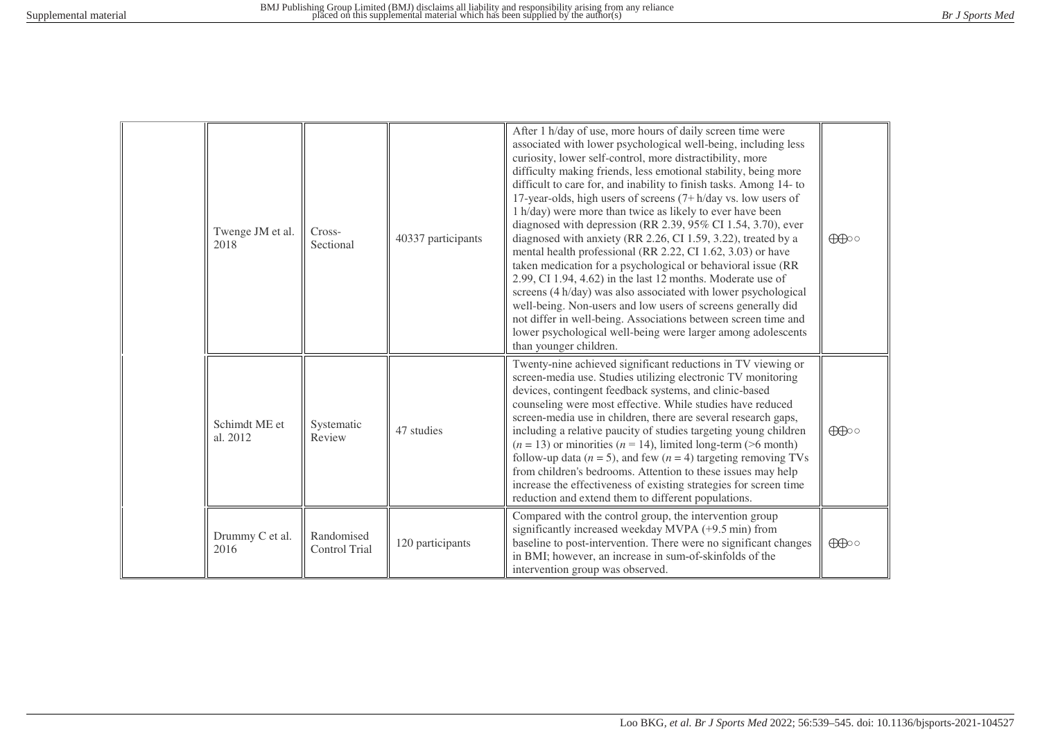| Twenge JM et al.<br>2018  | Cross-<br>Sectional         | 40337 participants | After 1 h/day of use, more hours of daily screen time were<br>associated with lower psychological well-being, including less<br>curiosity, lower self-control, more distractibility, more<br>difficulty making friends, less emotional stability, being more<br>difficult to care for, and inability to finish tasks. Among 14- to<br>17-year-olds, high users of screens $(7 + h/day vs. low users of$<br>1 h/day) were more than twice as likely to ever have been<br>diagnosed with depression (RR 2.39, 95% CI 1.54, 3.70), ever<br>diagnosed with anxiety (RR 2.26, CI 1.59, 3.22), treated by a<br>mental health professional (RR 2.22, CI 1.62, 3.03) or have<br>taken medication for a psychological or behavioral issue (RR<br>2.99, CI 1.94, 4.62) in the last 12 months. Moderate use of<br>screens (4 h/day) was also associated with lower psychological<br>well-being. Non-users and low users of screens generally did<br>not differ in well-being. Associations between screen time and<br>lower psychological well-being were larger among adolescents<br>than younger children. | $\bigoplus$ |
|---------------------------|-----------------------------|--------------------|---------------------------------------------------------------------------------------------------------------------------------------------------------------------------------------------------------------------------------------------------------------------------------------------------------------------------------------------------------------------------------------------------------------------------------------------------------------------------------------------------------------------------------------------------------------------------------------------------------------------------------------------------------------------------------------------------------------------------------------------------------------------------------------------------------------------------------------------------------------------------------------------------------------------------------------------------------------------------------------------------------------------------------------------------------------------------------------------------|-------------|
| Schimdt ME et<br>al. 2012 | Systematic<br>Review        | 47 studies         | Twenty-nine achieved significant reductions in TV viewing or<br>screen-media use. Studies utilizing electronic TV monitoring<br>devices, contingent feedback systems, and clinic-based<br>counseling were most effective. While studies have reduced<br>screen-media use in children, there are several research gaps,<br>including a relative paucity of studies targeting young children<br>$(n = 13)$ or minorities $(n = 14)$ , limited long-term (>6 month)<br>follow-up data ( $n = 5$ ), and few ( $n = 4$ ) targeting removing TVs<br>from children's bedrooms. Attention to these issues may help<br>increase the effectiveness of existing strategies for screen time<br>reduction and extend them to different populations.                                                                                                                                                                                                                                                                                                                                                            | $\bigoplus$ |
| Drummy C et al.<br>2016   | Randomised<br>Control Trial | 120 participants   | Compared with the control group, the intervention group<br>significantly increased weekday MVPA (+9.5 min) from<br>baseline to post-intervention. There were no significant changes<br>in BMI; however, an increase in sum-of-skinfolds of the<br>intervention group was observed.                                                                                                                                                                                                                                                                                                                                                                                                                                                                                                                                                                                                                                                                                                                                                                                                                | $\bigoplus$ |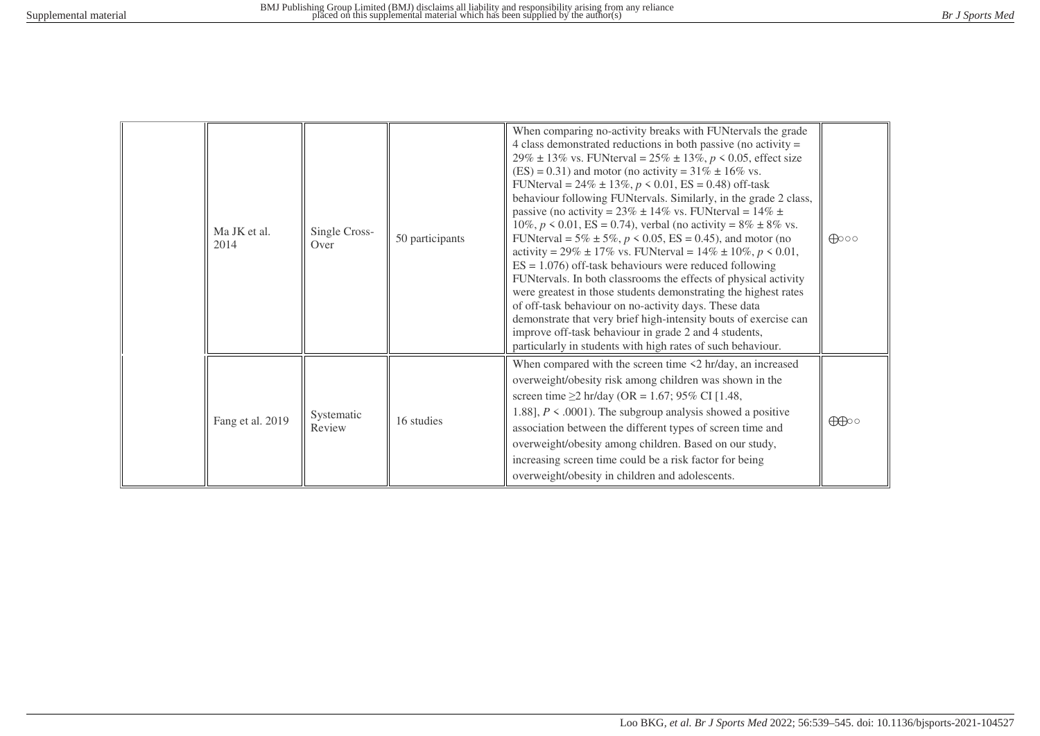| Ma JK et al.<br>2014 | Single Cross-<br>Over | 50 participants | When comparing no-activity breaks with FUNtervals the grade<br>4 class demonstrated reductions in both passive (no activity $=$<br>29% ± 13% vs. FUNterval = $25\%$ ± 13%, $p < 0.05$ , effect size<br>$(ES) = 0.31$ ) and motor (no activity = 31% $\pm$ 16% vs.<br>FUNterval = $24\% \pm 13\%, p \le 0.01$ , ES = 0.48) off-task<br>behaviour following FUNtervals. Similarly, in the grade 2 class,<br>passive (no activity = $23\% \pm 14\%$ vs. FUNterval = $14\% \pm$<br>10%, $p \le 0.01$ , ES = 0.74), verbal (no activity = 8% ± 8% vs.<br>FUNterval = $5\% \pm 5\%, p \le 0.05$ , ES = 0.45), and motor (no<br>activity = 29% ± 17% vs. FUNterval = 14% ± 10%, $p < 0.01$ ,<br>$ES = 1.076$ ) off-task behaviours were reduced following<br>FUNtervals. In both classrooms the effects of physical activity<br>were greatest in those students demonstrating the highest rates<br>of off-task behaviour on no-activity days. These data<br>demonstrate that very brief high-intensity bouts of exercise can<br>improve off-task behaviour in grade 2 and 4 students,<br>particularly in students with high rates of such behaviour. | $\bigoplus$ 00 |
|----------------------|-----------------------|-----------------|-----------------------------------------------------------------------------------------------------------------------------------------------------------------------------------------------------------------------------------------------------------------------------------------------------------------------------------------------------------------------------------------------------------------------------------------------------------------------------------------------------------------------------------------------------------------------------------------------------------------------------------------------------------------------------------------------------------------------------------------------------------------------------------------------------------------------------------------------------------------------------------------------------------------------------------------------------------------------------------------------------------------------------------------------------------------------------------------------------------------------------------------------|----------------|
| Fang et al. 2019     | Systematic<br>Review  | 16 studies      | When compared with the screen time $\leq 2$ hr/day, an increased<br>overweight/obesity risk among children was shown in the<br>screen time $\geq$ 2 hr/day (OR = 1.67; 95% CI [1.48,<br>1.88], $P \le 0.0001$ . The subgroup analysis showed a positive<br>association between the different types of screen time and<br>overweight/obesity among children. Based on our study,<br>increasing screen time could be a risk factor for being<br>overweight/obesity in children and adolescents.                                                                                                                                                                                                                                                                                                                                                                                                                                                                                                                                                                                                                                                 | $\bigoplus$    |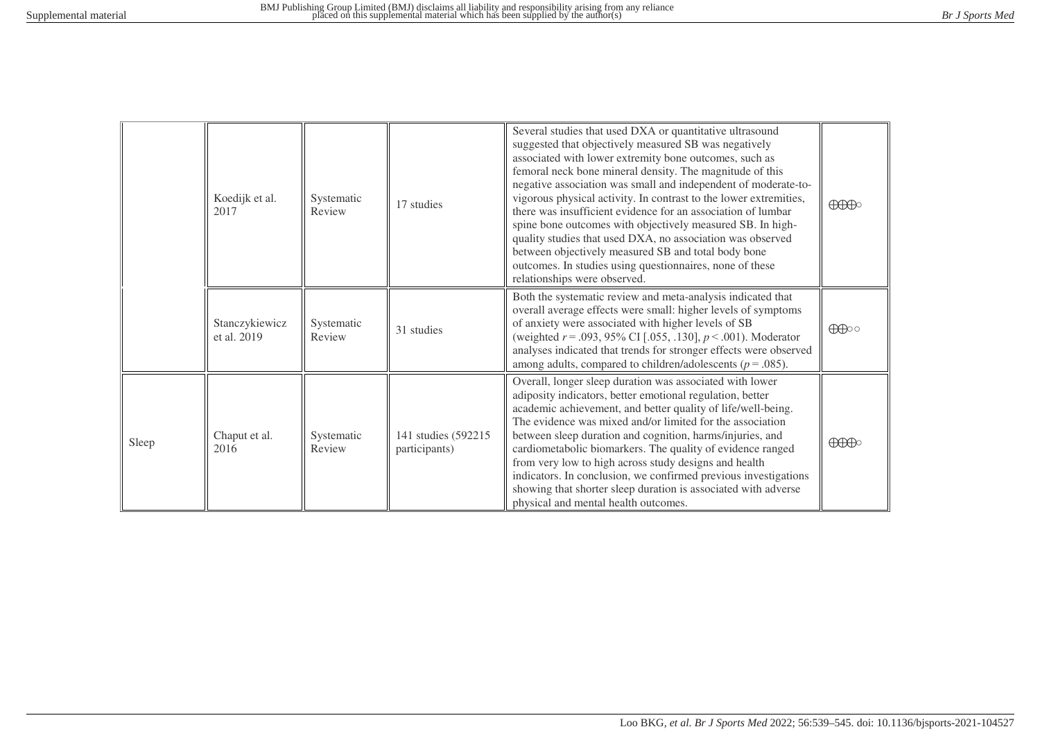|       | Koedijk et al.<br>Systematic<br>Review<br>2017 | 17 studies           | Several studies that used DXA or quantitative ultrasound<br>suggested that objectively measured SB was negatively<br>associated with lower extremity bone outcomes, such as<br>femoral neck bone mineral density. The magnitude of this<br>negative association was small and independent of moderate-to-<br>vigorous physical activity. In contrast to the lower extremities,<br>there was insufficient evidence for an association of lumbar<br>spine bone outcomes with objectively measured SB. In high-<br>quality studies that used DXA, no association was observed<br>between objectively measured SB and total body bone<br>outcomes. In studies using questionnaires, none of these<br>relationships were observed. | $\bigoplus\limits_{i=1}^n\bigoplus\limits_{i=1}^n\bigoplus\limits_{i=1}^n\bigoplus\limits_{i=1}^n\bigoplus\limits_{i=1}^n\bigoplus\limits_{i=1}^n\bigoplus\limits_{i=1}^n\bigoplus\limits_{i=1}^n\bigoplus\limits_{i=1}^n\bigoplus\limits_{i=1}^n\bigoplus\limits_{i=1}^n\bigoplus\limits_{i=1}^n\bigoplus\limits_{i=1}^n\bigoplus\limits_{i=1}^n\bigoplus\limits_{i=1}^n\bigoplus\limits_{i=1}^n\bigoplus\limits_{i=1}^$                                                                                                                                                                                           |                                                                                                                                                                                                                                                                                                                                                                                                                                          |
|-------|------------------------------------------------|----------------------|-------------------------------------------------------------------------------------------------------------------------------------------------------------------------------------------------------------------------------------------------------------------------------------------------------------------------------------------------------------------------------------------------------------------------------------------------------------------------------------------------------------------------------------------------------------------------------------------------------------------------------------------------------------------------------------------------------------------------------|---------------------------------------------------------------------------------------------------------------------------------------------------------------------------------------------------------------------------------------------------------------------------------------------------------------------------------------------------------------------------------------------------------------------------------------------------------------------------------------------------------------------------------------------------------------------------------------------------------------------|------------------------------------------------------------------------------------------------------------------------------------------------------------------------------------------------------------------------------------------------------------------------------------------------------------------------------------------------------------------------------------------------------------------------------------------|
|       | Stanczykiewicz<br>et al. 2019                  | Systematic<br>Review | 31 studies                                                                                                                                                                                                                                                                                                                                                                                                                                                                                                                                                                                                                                                                                                                    | Both the systematic review and meta-analysis indicated that<br>overall average effects were small: higher levels of symptoms<br>of anxiety were associated with higher levels of SB<br>(weighted $r = .093, 95\%$ CI [.055, .130], $p < .001$ ). Moderator<br>analyses indicated that trends for stronger effects were observed<br>among adults, compared to children/adolescents ( $p = .085$ ).                                                                                                                                                                                                                   | $\bigoplus$                                                                                                                                                                                                                                                                                                                                                                                                                              |
| Sleep | Chaput et al.<br>2016                          | Systematic<br>Review | 141 studies (592215)<br>participants)                                                                                                                                                                                                                                                                                                                                                                                                                                                                                                                                                                                                                                                                                         | Overall, longer sleep duration was associated with lower<br>adiposity indicators, better emotional regulation, better<br>academic achievement, and better quality of life/well-being.<br>The evidence was mixed and/or limited for the association<br>between sleep duration and cognition, harms/injuries, and<br>cardiometabolic biomarkers. The quality of evidence ranged<br>from very low to high across study designs and health<br>indicators. In conclusion, we confirmed previous investigations<br>showing that shorter sleep duration is associated with adverse<br>physical and mental health outcomes. | $\bigoplus\hspace{-0.18cm}\bigoplus\hspace{-0.18cm}\bigoplus\hspace{-0.18cm}\bigoplus\hspace{-0.18cm}\bigoplus\hspace{-0.18cm}\bigoplus\hspace{-0.18cm}\bigoplus\hspace{-0.18cm}\bigoplus\hspace{-0.18cm}\bigoplus\hspace{-0.18cm}\bigoplus\hspace{-0.18cm}\bigoplus\hspace{-0.18cm}\bigoplus\hspace{-0.18cm}\bigoplus\hspace{-0.18cm}\bigoplus\hspace{-0.18cm}\bigoplus\hspace{-0.18cm}\bigoplus\hspace{-0.18cm}\bigoplus\hspace{-0.18$ |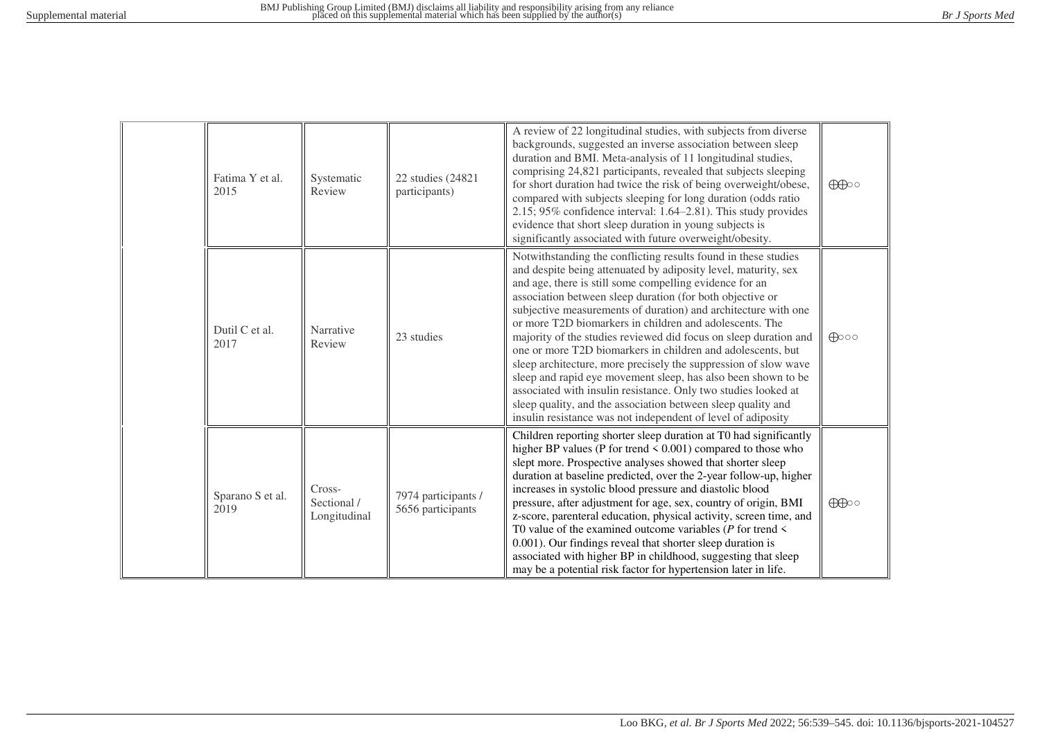| Fatima Y et al.<br>2015  | Systematic<br>Review                  | 22 studies (24821<br>participants)       | A review of 22 longitudinal studies, with subjects from diverse<br>backgrounds, suggested an inverse association between sleep<br>duration and BMI. Meta-analysis of 11 longitudinal studies,<br>comprising 24,821 participants, revealed that subjects sleeping<br>for short duration had twice the risk of being overweight/obese,<br>compared with subjects sleeping for long duration (odds ratio<br>$2.15$ ; 95% confidence interval: 1.64–2.81). This study provides<br>evidence that short sleep duration in young subjects is<br>significantly associated with future overweight/obesity.                                                                                                                                                                                                                                                              | $\bigoplus$    |
|--------------------------|---------------------------------------|------------------------------------------|----------------------------------------------------------------------------------------------------------------------------------------------------------------------------------------------------------------------------------------------------------------------------------------------------------------------------------------------------------------------------------------------------------------------------------------------------------------------------------------------------------------------------------------------------------------------------------------------------------------------------------------------------------------------------------------------------------------------------------------------------------------------------------------------------------------------------------------------------------------|----------------|
| Dutil C et al.<br>2017   | Narrative<br>Review                   | 23 studies                               | Notwithstanding the conflicting results found in these studies<br>and despite being attenuated by adiposity level, maturity, sex<br>and age, there is still some compelling evidence for an<br>association between sleep duration (for both objective or<br>subjective measurements of duration) and architecture with one<br>or more T2D biomarkers in children and adolescents. The<br>majority of the studies reviewed did focus on sleep duration and<br>one or more T2D biomarkers in children and adolescents, but<br>sleep architecture, more precisely the suppression of slow wave<br>sleep and rapid eye movement sleep, has also been shown to be<br>associated with insulin resistance. Only two studies looked at<br>sleep quality, and the association between sleep quality and<br>insulin resistance was not independent of level of adiposity | $\bigoplus$ 00 |
| Sparano S et al.<br>2019 | Cross-<br>Sectional /<br>Longitudinal | 7974 participants /<br>5656 participants | Children reporting shorter sleep duration at T0 had significantly<br>higher BP values (P for trend $\leq 0.001$ ) compared to those who<br>slept more. Prospective analyses showed that shorter sleep<br>duration at baseline predicted, over the 2-year follow-up, higher<br>increases in systolic blood pressure and diastolic blood<br>pressure, after adjustment for age, sex, country of origin, BMI<br>z-score, parenteral education, physical activity, screen time, and<br>T0 value of the examined outcome variables ( $P$ for trend $\leq$<br>0.001). Our findings reveal that shorter sleep duration is<br>associated with higher BP in childhood, suggesting that sleep<br>may be a potential risk factor for hypertension later in life.                                                                                                          | $\bigoplus$    |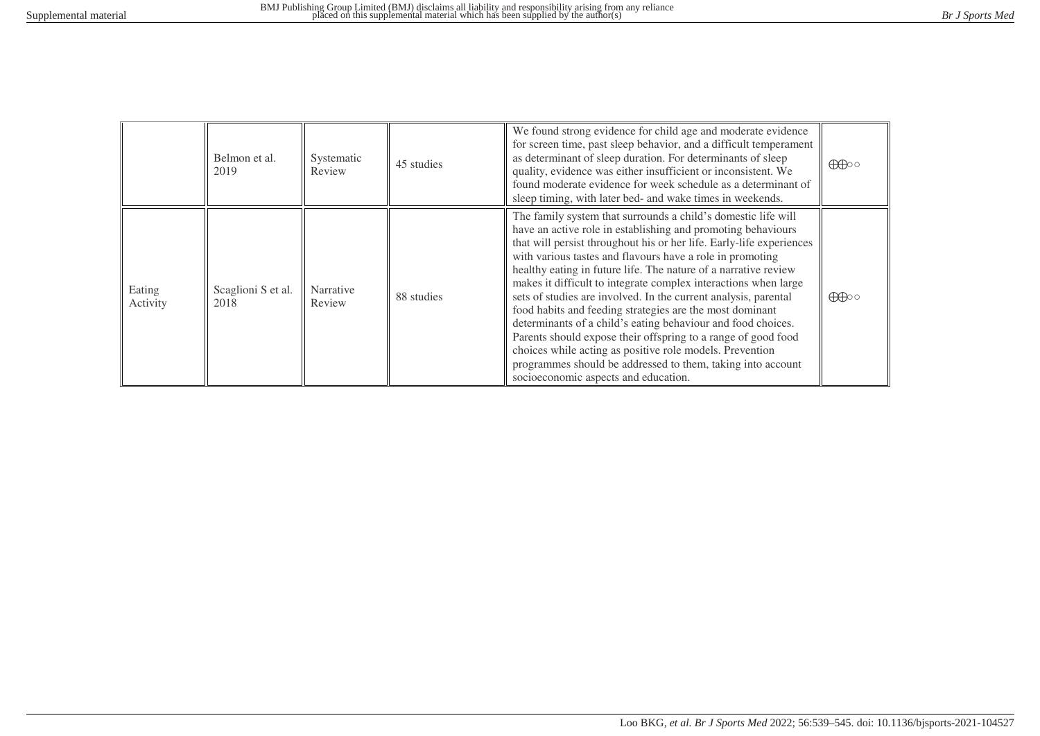|                    | Belmon et al.<br>2019      | Systematic<br>Review | 45 studies | We found strong evidence for child age and moderate evidence<br>for screen time, past sleep behavior, and a difficult temperament<br>as determinant of sleep duration. For determinants of sleep<br>quality, evidence was either insufficient or inconsistent. We<br>found moderate evidence for week schedule as a determinant of<br>sleep timing, with later bed- and wake times in weekends.                                                                                                                                                                                                                                                                                                                                                                                                                                             | $\bigoplus$ |
|--------------------|----------------------------|----------------------|------------|---------------------------------------------------------------------------------------------------------------------------------------------------------------------------------------------------------------------------------------------------------------------------------------------------------------------------------------------------------------------------------------------------------------------------------------------------------------------------------------------------------------------------------------------------------------------------------------------------------------------------------------------------------------------------------------------------------------------------------------------------------------------------------------------------------------------------------------------|-------------|
| Eating<br>Activity | Scaglioni S et al.<br>2018 | Narrative<br>Review  | 88 studies | The family system that surrounds a child's domestic life will<br>have an active role in establishing and promoting behaviours<br>that will persist throughout his or her life. Early-life experiences<br>with various tastes and flavours have a role in promoting<br>healthy eating in future life. The nature of a narrative review<br>makes it difficult to integrate complex interactions when large<br>sets of studies are involved. In the current analysis, parental<br>food habits and feeding strategies are the most dominant<br>determinants of a child's eating behaviour and food choices.<br>Parents should expose their offspring to a range of good food<br>choices while acting as positive role models. Prevention<br>programmes should be addressed to them, taking into account<br>socioeconomic aspects and education. | $\bigoplus$ |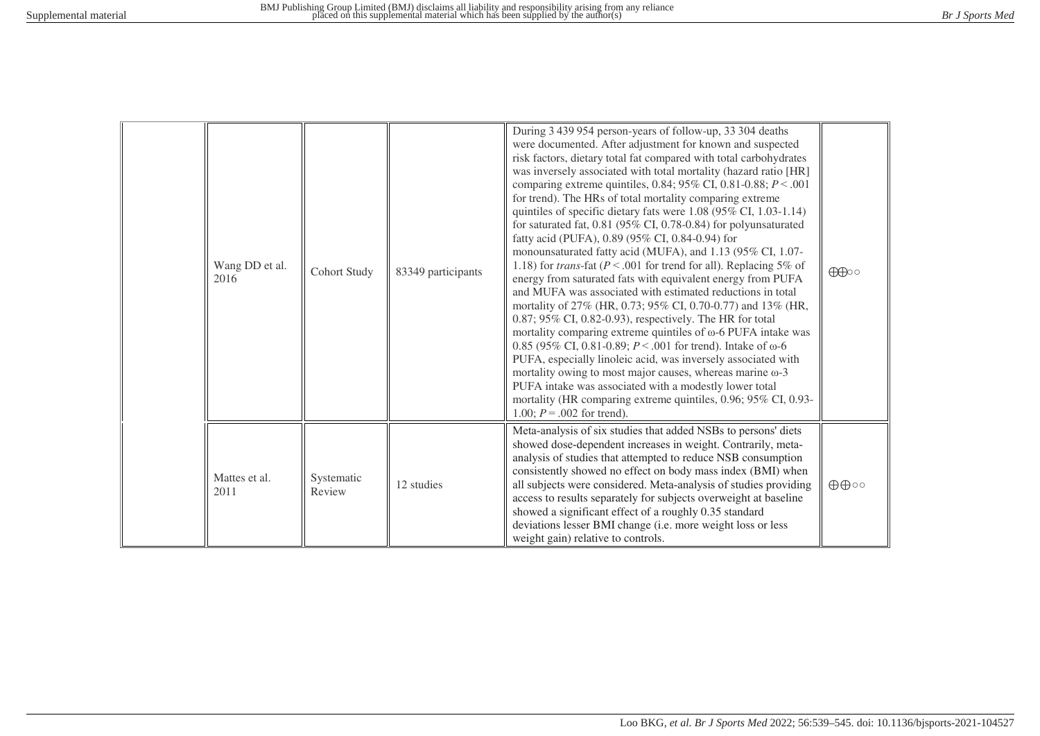| Wang DD et al.<br>2016 | <b>Cohort Study</b>  | 83349 participants | During 3 439 954 person-years of follow-up, 33 304 deaths<br>were documented. After adjustment for known and suspected<br>risk factors, dietary total fat compared with total carbohydrates<br>was inversely associated with total mortality (hazard ratio [HR]<br>comparing extreme quintiles, 0.84; 95% CI, 0.81-0.88; $P < .001$<br>for trend). The HRs of total mortality comparing extreme<br>quintiles of specific dietary fats were 1.08 (95% CI, 1.03-1.14)<br>for saturated fat, $0.81$ (95% CI, 0.78-0.84) for polyunsaturated<br>fatty acid (PUFA), 0.89 (95% CI, 0.84-0.94) for<br>monounsaturated fatty acid (MUFA), and 1.13 (95% CI, 1.07-<br>1.18) for <i>trans</i> -fat ( $P < .001$ for trend for all). Replacing 5% of<br>energy from saturated fats with equivalent energy from PUFA<br>and MUFA was associated with estimated reductions in total<br>mortality of 27% (HR, 0.73; 95% CI, 0.70-0.77) and 13% (HR,<br>$0.87$ ; 95% CI, 0.82-0.93), respectively. The HR for total<br>mortality comparing extreme quintiles of $\omega$ -6 PUFA intake was<br>0.85 (95% CI, 0.81-0.89; $P < .001$ for trend). Intake of $\omega$ -6<br>PUFA, especially linoleic acid, was inversely associated with<br>mortality owing to most major causes, whereas marine $\omega$ -3<br>PUFA intake was associated with a modestly lower total<br>mortality (HR comparing extreme quintiles, 0.96; 95% CI, 0.93-<br>1.00; $P = .002$ for trend). | $\bigoplus$                 |
|------------------------|----------------------|--------------------|--------------------------------------------------------------------------------------------------------------------------------------------------------------------------------------------------------------------------------------------------------------------------------------------------------------------------------------------------------------------------------------------------------------------------------------------------------------------------------------------------------------------------------------------------------------------------------------------------------------------------------------------------------------------------------------------------------------------------------------------------------------------------------------------------------------------------------------------------------------------------------------------------------------------------------------------------------------------------------------------------------------------------------------------------------------------------------------------------------------------------------------------------------------------------------------------------------------------------------------------------------------------------------------------------------------------------------------------------------------------------------------------------------------------------------------------------------|-----------------------------|
| Mattes et al.<br>2011  | Systematic<br>Review | 12 studies         | Meta-analysis of six studies that added NSBs to persons' diets<br>showed dose-dependent increases in weight. Contrarily, meta-<br>analysis of studies that attempted to reduce NSB consumption<br>consistently showed no effect on body mass index (BMI) when<br>all subjects were considered. Meta-analysis of studies providing<br>access to results separately for subjects overweight at baseline<br>showed a significant effect of a roughly 0.35 standard<br>deviations lesser BMI change (i.e. more weight loss or less<br>weight gain) relative to controls.                                                                                                                                                                                                                                                                                                                                                                                                                                                                                                                                                                                                                                                                                                                                                                                                                                                                                   | $\oplus \oplus \circ \circ$ |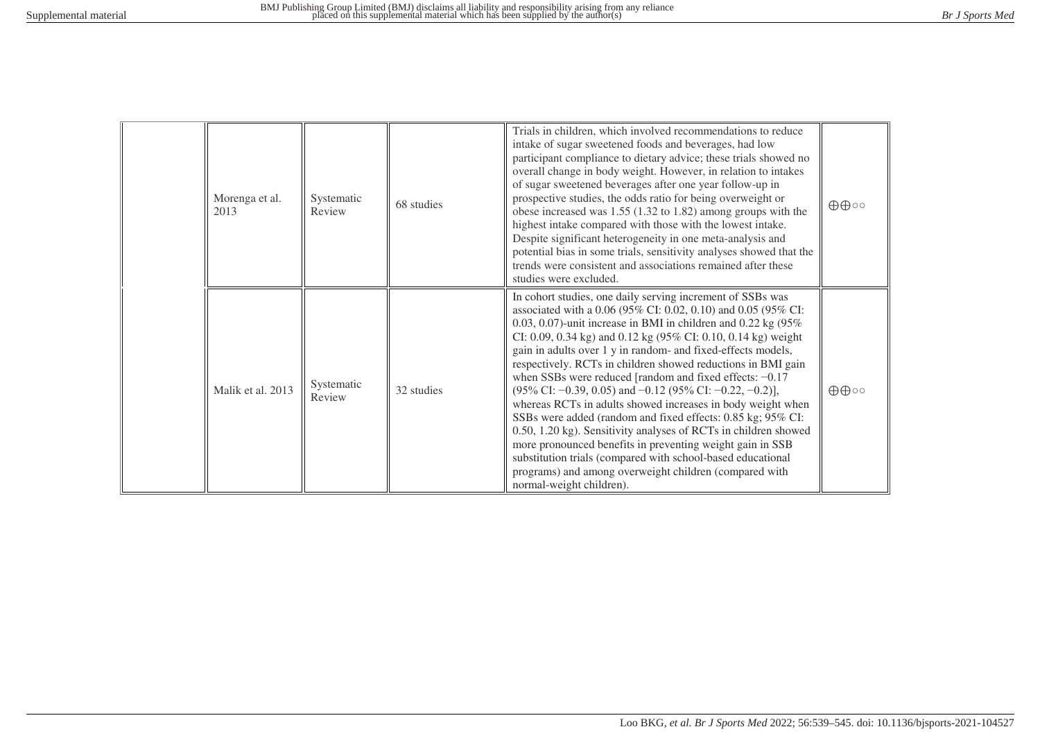| Morenga et al.<br>2013 | Systematic<br>Review | 68 studies | Trials in children, which involved recommendations to reduce<br>intake of sugar sweetened foods and beverages, had low<br>participant compliance to dietary advice; these trials showed no<br>overall change in body weight. However, in relation to intakes<br>of sugar sweetened beverages after one year follow-up in<br>prospective studies, the odds ratio for being overweight or<br>obese increased was $1.55$ (1.32 to 1.82) among groups with the<br>highest intake compared with those with the lowest intake.<br>Despite significant heterogeneity in one meta-analysis and<br>potential bias in some trials, sensitivity analyses showed that the<br>trends were consistent and associations remained after these<br>studies were excluded.                                                                                                                                                                                                                | $\oplus \oplus \circ \circ$ |
|------------------------|----------------------|------------|------------------------------------------------------------------------------------------------------------------------------------------------------------------------------------------------------------------------------------------------------------------------------------------------------------------------------------------------------------------------------------------------------------------------------------------------------------------------------------------------------------------------------------------------------------------------------------------------------------------------------------------------------------------------------------------------------------------------------------------------------------------------------------------------------------------------------------------------------------------------------------------------------------------------------------------------------------------------|-----------------------------|
| Malik et al. 2013      | Systematic<br>Review | 32 studies | In cohort studies, one daily serving increment of SSBs was<br>associated with a 0.06 (95% CI: 0.02, 0.10) and 0.05 (95% CI:<br>0.03, 0.07)-unit increase in BMI in children and 0.22 kg $(95\%$<br>CI: 0.09, 0.34 kg) and 0.12 kg (95% CI: 0.10, 0.14 kg) weight<br>gain in adults over 1 y in random- and fixed-effects models,<br>respectively. RCTs in children showed reductions in BMI gain<br>when SSBs were reduced [random and fixed effects: $-0.17$<br>$(95\% \text{ CI: } -0.39, 0.05)$ and $-0.12$ $(95\% \text{ CI: } -0.22, -0.2)$ ],<br>whereas RCTs in adults showed increases in body weight when<br>SSBs were added (random and fixed effects: 0.85 kg; 95% CI:<br>0.50, 1.20 kg). Sensitivity analyses of RCTs in children showed<br>more pronounced benefits in preventing weight gain in SSB<br>substitution trials (compared with school-based educational<br>programs) and among overweight children (compared with<br>normal-weight children). | $\oplus \oplus \circ \circ$ |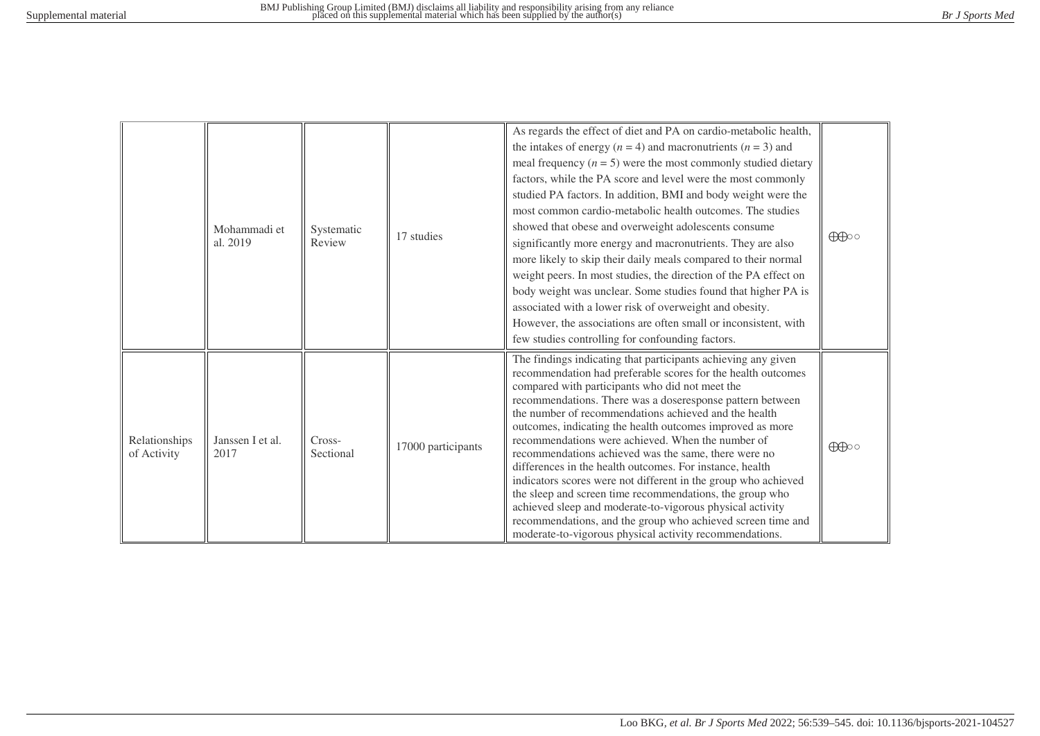|                              | Mohammadi et<br>al. 2019 | Systematic<br>Review | 17 studies         | As regards the effect of diet and PA on cardio-metabolic health,<br>the intakes of energy ( $n = 4$ ) and macronutrients ( $n = 3$ ) and<br>meal frequency $(n = 5)$ were the most commonly studied dietary<br>factors, while the PA score and level were the most commonly<br>studied PA factors. In addition, BMI and body weight were the<br>most common cardio-metabolic health outcomes. The studies<br>showed that obese and overweight adolescents consume<br>significantly more energy and macronutrients. They are also<br>more likely to skip their daily meals compared to their normal<br>weight peers. In most studies, the direction of the PA effect on<br>body weight was unclear. Some studies found that higher PA is<br>associated with a lower risk of overweight and obesity.<br>However, the associations are often small or inconsistent, with<br>few studies controlling for confounding factors. | $\bigoplus$ |
|------------------------------|--------------------------|----------------------|--------------------|---------------------------------------------------------------------------------------------------------------------------------------------------------------------------------------------------------------------------------------------------------------------------------------------------------------------------------------------------------------------------------------------------------------------------------------------------------------------------------------------------------------------------------------------------------------------------------------------------------------------------------------------------------------------------------------------------------------------------------------------------------------------------------------------------------------------------------------------------------------------------------------------------------------------------|-------------|
| Relationships<br>of Activity | Janssen I et al.<br>2017 | Cross-<br>Sectional  | 17000 participants | The findings indicating that participants achieving any given<br>recommendation had preferable scores for the health outcomes<br>compared with participants who did not meet the<br>recommendations. There was a doseresponse pattern between<br>the number of recommendations achieved and the health<br>outcomes, indicating the health outcomes improved as more<br>recommendations were achieved. When the number of<br>recommendations achieved was the same, there were no<br>differences in the health outcomes. For instance, health<br>indicators scores were not different in the group who achieved<br>the sleep and screen time recommendations, the group who<br>achieved sleep and moderate-to-vigorous physical activity<br>recommendations, and the group who achieved screen time and<br>moderate-to-vigorous physical activity recommendations.                                                         | $\bigoplus$ |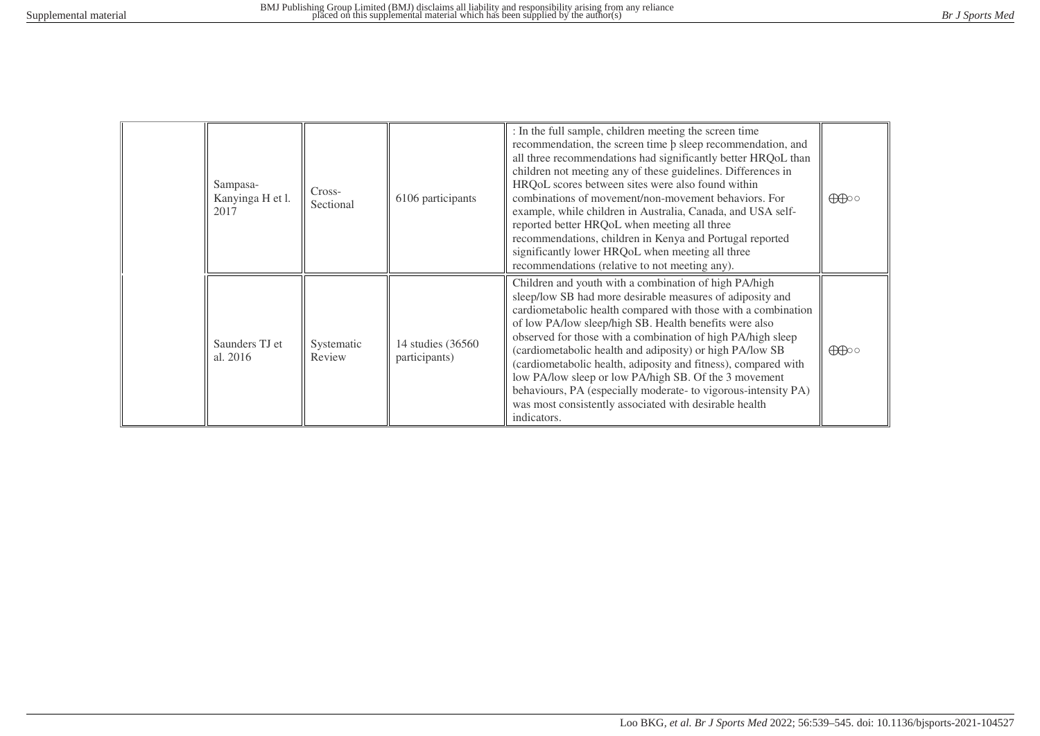| Sampasa-<br>Kanyinga H et l.<br>2017 | Cross-<br>Sectional  | 6106 participants                   | : In the full sample, children meeting the screen time<br>recommendation, the screen time $\beta$ sleep recommendation, and<br>all three recommendations had significantly better HRQoL than<br>children not meeting any of these guidelines. Differences in<br>HRQoL scores between sites were also found within<br>combinations of movement/non-movement behaviors. For<br>example, while children in Australia, Canada, and USA self-<br>reported better HRQoL when meeting all three<br>recommendations, children in Kenya and Portugal reported<br>significantly lower HRQoL when meeting all three<br>recommendations (relative to not meeting any). | $\bigoplus$ |
|--------------------------------------|----------------------|-------------------------------------|------------------------------------------------------------------------------------------------------------------------------------------------------------------------------------------------------------------------------------------------------------------------------------------------------------------------------------------------------------------------------------------------------------------------------------------------------------------------------------------------------------------------------------------------------------------------------------------------------------------------------------------------------------|-------------|
| Saunders TJ et<br>al. 2016           | Systematic<br>Review | 14 studies (36560)<br>participants) | Children and youth with a combination of high PA/high<br>sleep/low SB had more desirable measures of adiposity and<br>cardiometabolic health compared with those with a combination<br>of low PA/low sleep/high SB. Health benefits were also<br>observed for those with a combination of high PA/high sleep<br>(cardiometabolic health and adiposity) or high PA/low SB<br>(cardiometabolic health, adiposity and fitness), compared with<br>low PA/low sleep or low PA/high SB. Of the 3 movement<br>behaviours, PA (especially moderate- to vigorous-intensity PA)<br>was most consistently associated with desirable health<br>indicators.             | $\bigoplus$ |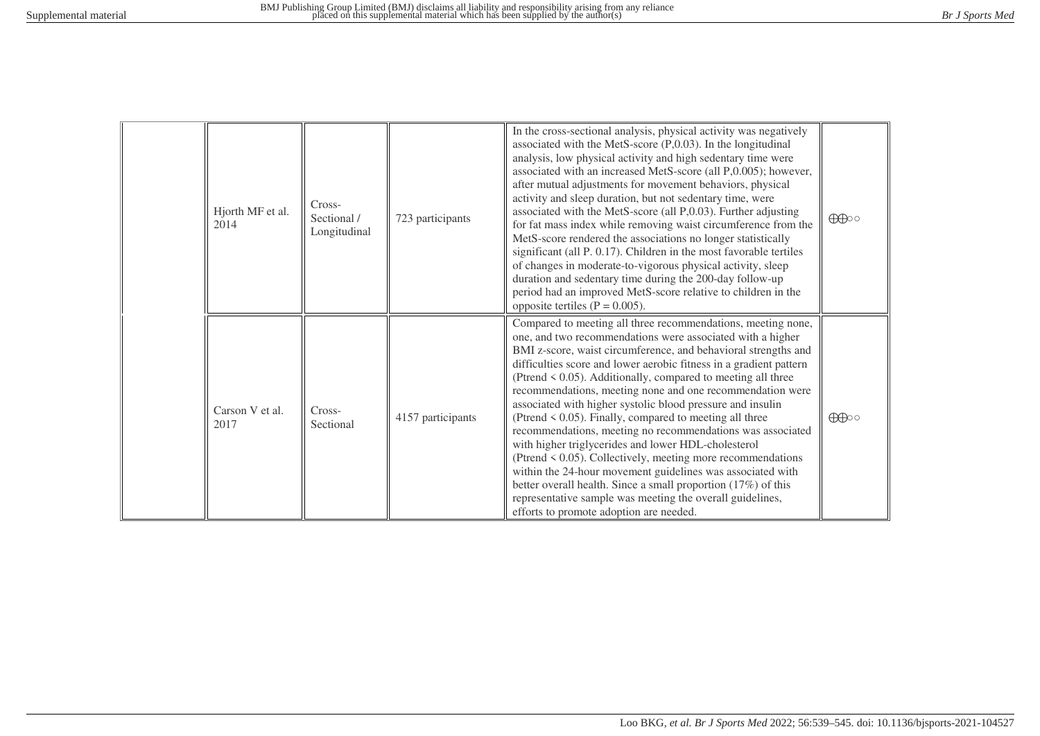| Hjorth MF et al.<br>2014 | Cross-<br>Sectional /<br>Longitudinal | 723 participants  | In the cross-sectional analysis, physical activity was negatively<br>associated with the MetS-score $(P, 0.03)$ . In the longitudinal<br>analysis, low physical activity and high sedentary time were<br>associated with an increased MetS-score (all P,0.005); however,<br>after mutual adjustments for movement behaviors, physical<br>activity and sleep duration, but not sedentary time, were<br>associated with the MetS-score (all P,0.03). Further adjusting<br>for fat mass index while removing waist circumference from the<br>MetS-score rendered the associations no longer statistically<br>significant (all P. 0.17). Children in the most favorable tertiles<br>of changes in moderate-to-vigorous physical activity, sleep<br>duration and sedentary time during the 200-day follow-up<br>period had an improved MetS-score relative to children in the<br>opposite tertiles ( $P = 0.005$ ).                                                | $\bigoplus$ |
|--------------------------|---------------------------------------|-------------------|---------------------------------------------------------------------------------------------------------------------------------------------------------------------------------------------------------------------------------------------------------------------------------------------------------------------------------------------------------------------------------------------------------------------------------------------------------------------------------------------------------------------------------------------------------------------------------------------------------------------------------------------------------------------------------------------------------------------------------------------------------------------------------------------------------------------------------------------------------------------------------------------------------------------------------------------------------------|-------------|
| Carson V et al.<br>2017  | Cross-<br>Sectional                   | 4157 participants | Compared to meeting all three recommendations, meeting none,<br>one, and two recommendations were associated with a higher<br>BMI z-score, waist circumference, and behavioral strengths and<br>difficulties score and lower aerobic fitness in a gradient pattern<br>(Ptrend < 0.05). Additionally, compared to meeting all three<br>recommendations, meeting none and one recommendation were<br>associated with higher systolic blood pressure and insulin<br>(Ptrend $\leq$ 0.05). Finally, compared to meeting all three<br>recommendations, meeting no recommendations was associated<br>with higher triglycerides and lower HDL-cholesterol<br>(Ptrend $\leq$ 0.05). Collectively, meeting more recommendations<br>within the 24-hour movement guidelines was associated with<br>better overall health. Since a small proportion (17%) of this<br>representative sample was meeting the overall guidelines,<br>efforts to promote adoption are needed. | $\bigoplus$ |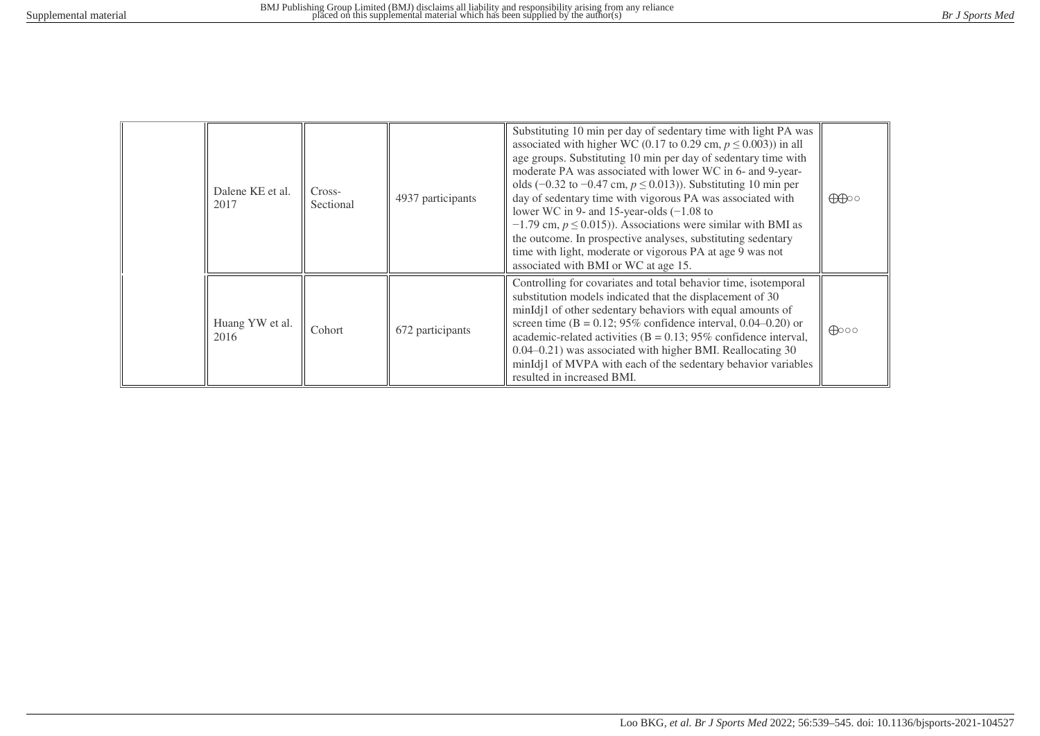| Dalene KE et al.<br>2017 | Cross-<br>Sectional | 4937 participants | Substituting 10 min per day of sedentary time with light PA was<br>associated with higher WC (0.17 to 0.29 cm, $p \le 0.003$ )) in all<br>age groups. Substituting 10 min per day of sedentary time with<br>moderate PA was associated with lower WC in 6- and 9-year-<br>olds (-0.32 to -0.47 cm, $p \le 0.013$ )). Substituting 10 min per<br>day of sedentary time with vigorous PA was associated with<br>lower WC in 9- and 15-year-olds $(-1.08$ to<br>$-1.79$ cm, $p \le 0.015$ ). Associations were similar with BMI as<br>the outcome. In prospective analyses, substituting sedentary<br>time with light, moderate or vigorous PA at age 9 was not<br>associated with BMI or WC at age 15. | $\bigoplus$    |
|--------------------------|---------------------|-------------------|------------------------------------------------------------------------------------------------------------------------------------------------------------------------------------------------------------------------------------------------------------------------------------------------------------------------------------------------------------------------------------------------------------------------------------------------------------------------------------------------------------------------------------------------------------------------------------------------------------------------------------------------------------------------------------------------------|----------------|
| Huang YW et al.<br>2016  | Cohort              | 672 participants  | Controlling for covariates and total behavior time, isotemporal<br>substitution models indicated that the displacement of 30<br>minIdj1 of other sedentary behaviors with equal amounts of<br>screen time ( $B = 0.12$ ; 95% confidence interval, 0.04–0.20) or<br>academic-related activities ( $B = 0.13$ ; 95% confidence interval,<br>0.04–0.21) was associated with higher BMI. Reallocating 30<br>minIdj1 of MVPA with each of the sedentary behavior variables<br>resulted in increased BMI.                                                                                                                                                                                                  | $\bigoplus$ 00 |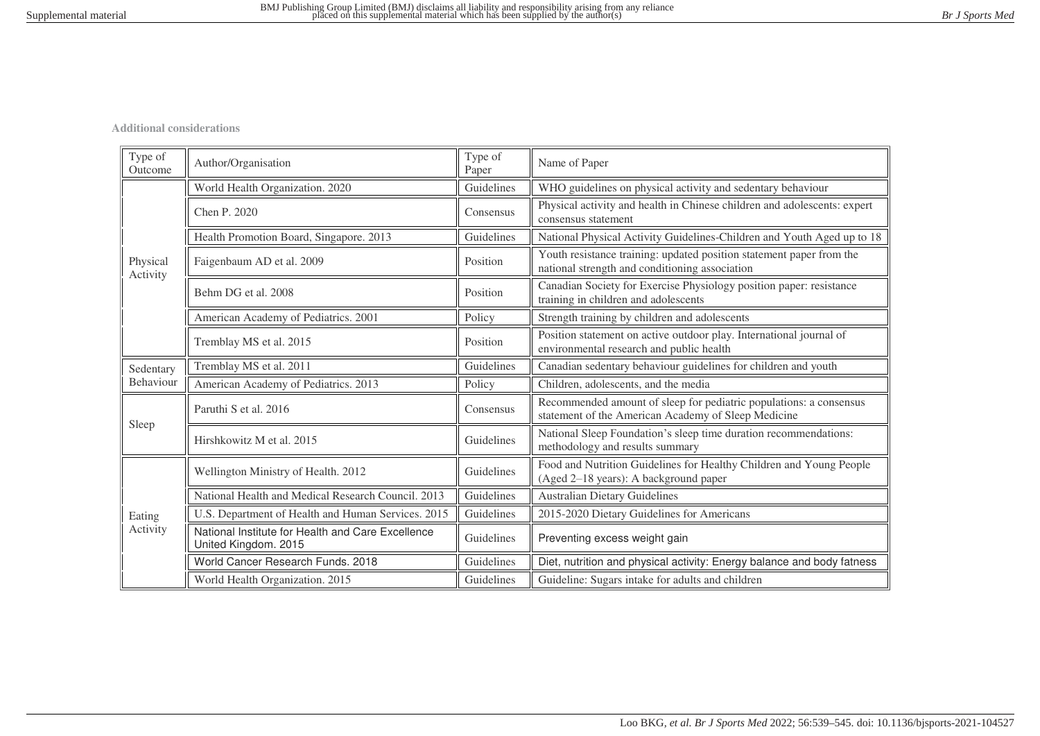**Additional considerations**

| Type of<br>Outcome   | Author/Organisation                                                       | Type of<br>Paper | Name of Paper                                                                                                             |
|----------------------|---------------------------------------------------------------------------|------------------|---------------------------------------------------------------------------------------------------------------------------|
|                      | World Health Organization. 2020                                           | Guidelines       | WHO guidelines on physical activity and sedentary behaviour                                                               |
|                      | Chen P. 2020                                                              | Consensus        | Physical activity and health in Chinese children and adolescents: expert<br>consensus statement                           |
|                      | Health Promotion Board, Singapore. 2013                                   | Guidelines       | National Physical Activity Guidelines-Children and Youth Aged up to 18                                                    |
| Physical<br>Activity | Faigenbaum AD et al. 2009                                                 | Position         | Youth resistance training: updated position statement paper from the<br>national strength and conditioning association    |
|                      | Behm DG et al. 2008                                                       | Position         | Canadian Society for Exercise Physiology position paper: resistance<br>training in children and adolescents               |
|                      | American Academy of Pediatrics. 2001                                      | Policy           | Strength training by children and adolescents                                                                             |
|                      | Tremblay MS et al. 2015                                                   | Position         | Position statement on active outdoor play. International journal of<br>environmental research and public health           |
| Sedentary            | Tremblay MS et al. 2011                                                   | Guidelines       | Canadian sedentary behaviour guidelines for children and youth                                                            |
| Behaviour            | American Academy of Pediatrics. 2013                                      | Policy           | Children, adolescents, and the media                                                                                      |
|                      | Paruthi S et al. 2016                                                     | Consensus        | Recommended amount of sleep for pediatric populations: a consensus<br>statement of the American Academy of Sleep Medicine |
| Sleep                | Hirshkowitz M et al. 2015                                                 | Guidelines       | National Sleep Foundation's sleep time duration recommendations:<br>methodology and results summary                       |
|                      | Wellington Ministry of Health. 2012                                       | Guidelines       | Food and Nutrition Guidelines for Healthy Children and Young People<br>(Aged 2-18 years): A background paper              |
|                      | National Health and Medical Research Council. 2013                        | Guidelines       | <b>Australian Dietary Guidelines</b>                                                                                      |
| Eating               | U.S. Department of Health and Human Services. 2015                        | Guidelines       | 2015-2020 Dietary Guidelines for Americans                                                                                |
| Activity             | National Institute for Health and Care Excellence<br>United Kingdom. 2015 | Guidelines       | Preventing excess weight gain                                                                                             |
|                      | World Cancer Research Funds. 2018                                         | Guidelines       | Diet, nutrition and physical activity: Energy balance and body fatness                                                    |
|                      | World Health Organization. 2015                                           | Guidelines       | Guideline: Sugars intake for adults and children                                                                          |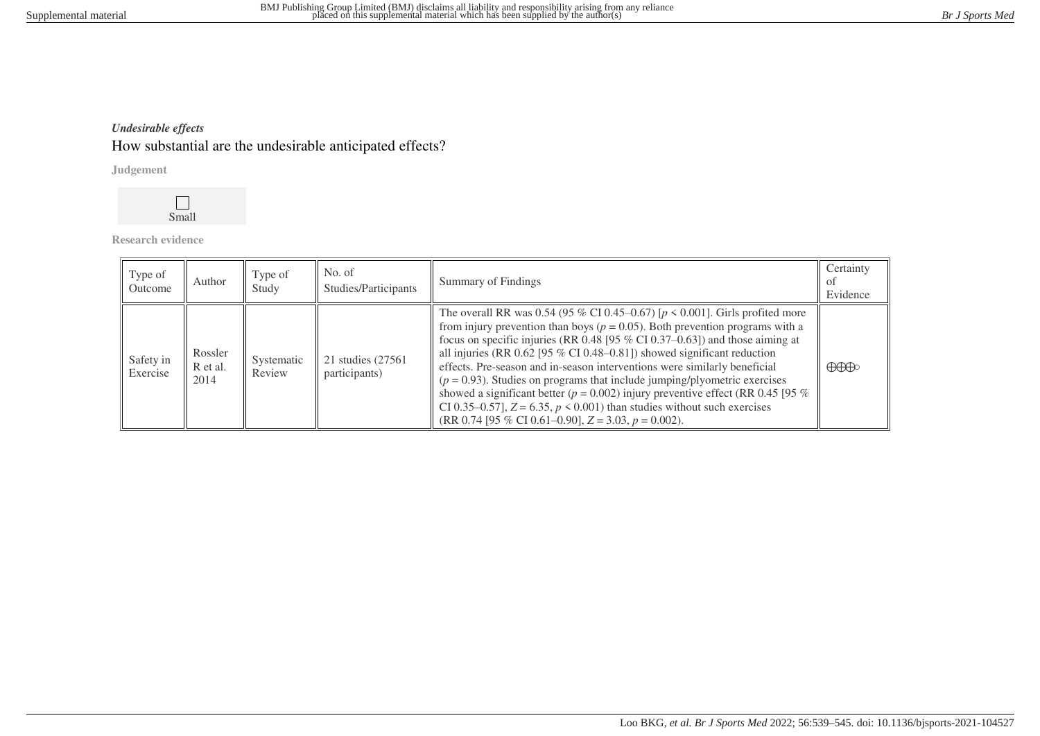# *Undesirable effects* How substantial are the undesirable anticipated effects?

**Judgement**



**Research evidence**

| Type of<br>Outcome    | Author                      | Type of<br>Study     | No. of<br>Studies/Participants      | Summary of Findings                                                                                                                                                                                                                                                                                                                                                                                                                                                                                                                                                                                                                                                                                                                   | Certainty<br>ΩŤ<br>Evidence          |
|-----------------------|-----------------------------|----------------------|-------------------------------------|---------------------------------------------------------------------------------------------------------------------------------------------------------------------------------------------------------------------------------------------------------------------------------------------------------------------------------------------------------------------------------------------------------------------------------------------------------------------------------------------------------------------------------------------------------------------------------------------------------------------------------------------------------------------------------------------------------------------------------------|--------------------------------------|
| Safety in<br>Exercise | Rossler<br>R et al.<br>2014 | Systematic<br>Review | 21 studies (27561)<br>participants) | The overall RR was 0.54 (95 % CI 0.45–0.67) [ $p \le 0.001$ ]. Girls profited more<br>from injury prevention than boys ( $p = 0.05$ ). Both prevention programs with a<br>focus on specific injuries (RR 0.48 [95 $%$ CI 0.37–0.63]) and those aiming at<br>all injuries (RR $0.62$ [95 % CI 0.48–0.81]) showed significant reduction<br>effects. Pre-season and in-season interventions were similarly beneficial<br>$(p = 0.93)$ . Studies on programs that include jumping/plyometric exercises<br>showed a significant better ( $p = 0.002$ ) injury preventive effect (RR 0.45 [95 %<br>CI 0.35–0.57], $Z = 6.35$ , $p \le 0.001$ ) than studies without such exercises<br>$(RR 0.74 [95 % CI 0.61–0.90], Z = 3.03, p = 0.002).$ | $\bigoplus\hspace{-0.15cm}\bigoplus$ |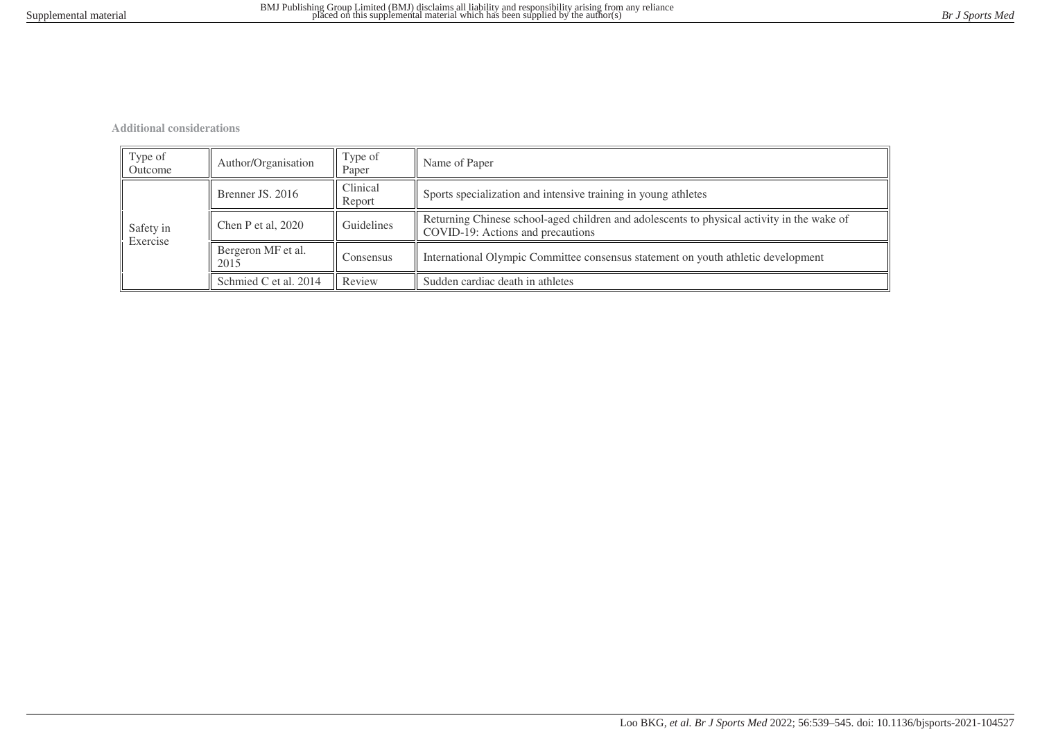**Additional considerations**

| Type of<br>Outcome    | Author/Organisation                     | Type of<br>Paper   | Name of Paper                                                                                                                   |  |
|-----------------------|-----------------------------------------|--------------------|---------------------------------------------------------------------------------------------------------------------------------|--|
|                       | Brenner JS, 2016                        | Clinical<br>Report | Sports specialization and intensive training in young athletes                                                                  |  |
| Safety in<br>Exercise | Chen P et al, 2020                      | Guidelines         | Returning Chinese school-aged children and adolescents to physical activity in the wake of<br>COVID-19: Actions and precautions |  |
|                       | Bergeron MF et al.<br>Consensus<br>2015 |                    | International Olympic Committee consensus statement on youth athletic development                                               |  |
|                       | Schmied C et al. 2014                   | Review             | Sudden cardiac death in athletes                                                                                                |  |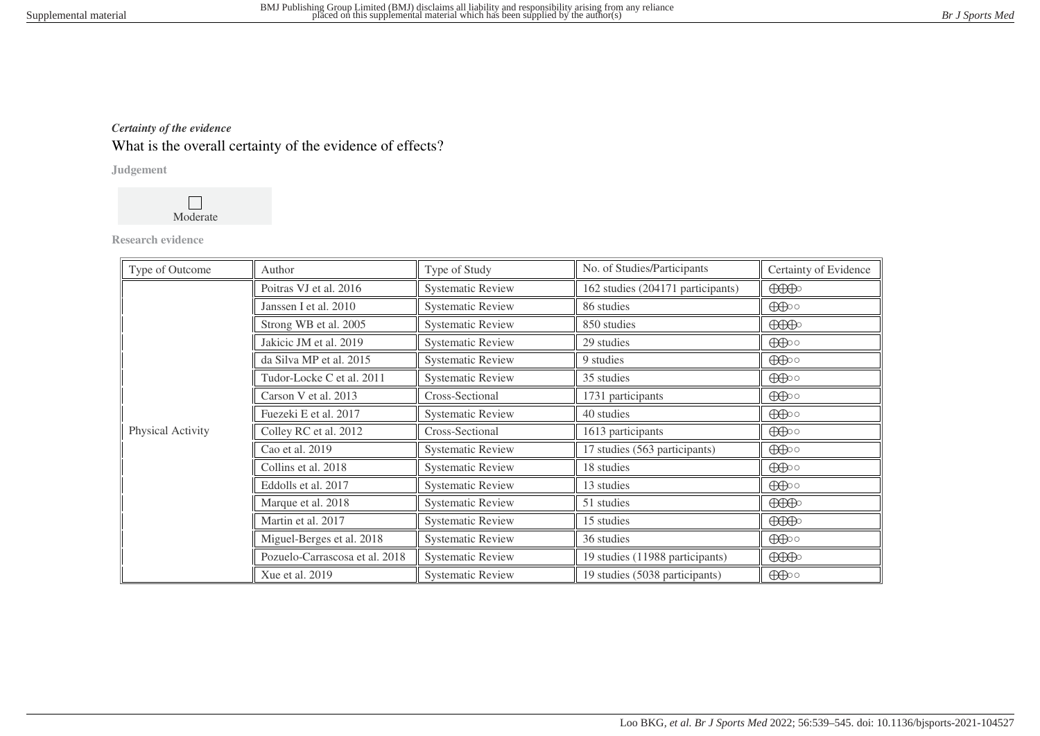# *Certainty of the evidence* What is the overall certainty of the evidence of effects?

### **Judgement**



### **Research evidence**

| Type of Outcome   | Author                         | Type of Study            | No. of Studies/Participants       | Certainty of Evidence                                                                                                                                                                                                                                                                                                                                                                                                                    |
|-------------------|--------------------------------|--------------------------|-----------------------------------|------------------------------------------------------------------------------------------------------------------------------------------------------------------------------------------------------------------------------------------------------------------------------------------------------------------------------------------------------------------------------------------------------------------------------------------|
|                   | Poitras VJ et al. 2016         | <b>Systematic Review</b> | 162 studies (204171 participants) | $\bigoplus\limits_{i=1}^n\bigoplus\limits_{i=1}^n\bigoplus\limits_{i=1}^n\bigoplus\limits_{i=1}^n\bigoplus\limits_{i=1}^n\bigoplus\limits_{i=1}^n\bigoplus\limits_{i=1}^n\bigoplus\limits_{i=1}^n\bigoplus\limits_{i=1}^n\bigoplus\limits_{i=1}^n\bigoplus\limits_{i=1}^n\bigoplus\limits_{i=1}^n\bigoplus\limits_{i=1}^n\bigoplus\limits_{i=1}^n\bigoplus\limits_{i=1}^n\bigoplus\limits_{i=1}^n\bigoplus\limits_{i=1}^$                |
|                   | Janssen I et al. 2010          | <b>Systematic Review</b> | 86 studies                        | $\bigoplus$                                                                                                                                                                                                                                                                                                                                                                                                                              |
|                   | Strong WB et al. 2005          | <b>Systematic Review</b> | 850 studies                       | $\bigoplus\hspace{-0.18cm}\bigoplus$                                                                                                                                                                                                                                                                                                                                                                                                     |
|                   | Jakicic JM et al. 2019         | <b>Systematic Review</b> | 29 studies                        | $\bigoplus$                                                                                                                                                                                                                                                                                                                                                                                                                              |
|                   | da Silva MP et al. 2015        | <b>Systematic Review</b> | 9 studies                         | $\bigoplus$                                                                                                                                                                                                                                                                                                                                                                                                                              |
|                   | Tudor-Locke C et al. 2011      | <b>Systematic Review</b> | 35 studies                        | $\bigoplus$                                                                                                                                                                                                                                                                                                                                                                                                                              |
| Physical Activity | Carson V et al. 2013           | Cross-Sectional          | 1731 participants                 | $\bigoplus$                                                                                                                                                                                                                                                                                                                                                                                                                              |
|                   | Fuezeki E et al. 2017          | <b>Systematic Review</b> | 40 studies                        | $\bigoplus$                                                                                                                                                                                                                                                                                                                                                                                                                              |
|                   | Colley RC et al. 2012          | Cross-Sectional          | 1613 participants                 | $\bigoplus$                                                                                                                                                                                                                                                                                                                                                                                                                              |
|                   | Cao et al. 2019                | <b>Systematic Review</b> | 17 studies (563 participants)     | $\bigoplus$                                                                                                                                                                                                                                                                                                                                                                                                                              |
|                   | Collins et al. 2018            | <b>Systematic Review</b> | 18 studies                        | $\bigoplus$                                                                                                                                                                                                                                                                                                                                                                                                                              |
|                   | Eddolls et al. 2017            | <b>Systematic Review</b> | 13 studies                        | $\bigoplus$                                                                                                                                                                                                                                                                                                                                                                                                                              |
|                   | Marque et al. 2018             | <b>Systematic Review</b> | 51 studies                        | $\bigoplus\hspace{-0.15cm}\bigoplus\hspace{-0.15cm}\bigoplus\hspace{-0.15cm}\bigoplus\hspace{-0.15cm}\bigoplus\hspace{-0.15cm}\bigoplus\hspace{-0.15cm}\bigoplus\hspace{-0.15cm}\bigoplus\hspace{-0.15cm}\bigoplus\hspace{-0.15cm}\bigoplus\hspace{-0.15cm}\bigoplus\hspace{-0.15cm}\bigoplus\hspace{-0.15cm}\bigoplus\hspace{-0.15cm}\bigoplus\hspace{-0.15cm}\bigoplus\hspace{-0.15cm}\bigoplus\hspace{-0.15cm}\bigoplus\hspace{-0.15$ |
|                   | Martin et al. 2017             | <b>Systematic Review</b> | 15 studies                        | $\bigoplus\limits_{i=1}^n\bigoplus\limits_{i=1}^n\bigoplus\limits_{i=1}^n\bigoplus\limits_{i=1}^n\bigoplus\limits_{i=1}^n\bigoplus\limits_{i=1}^n\bigoplus\limits_{i=1}^n\bigoplus\limits_{i=1}^n\bigoplus\limits_{i=1}^n\bigoplus\limits_{i=1}^n\bigoplus\limits_{i=1}^n\bigoplus\limits_{i=1}^n\bigoplus\limits_{i=1}^n\bigoplus\limits_{i=1}^n\bigoplus\limits_{i=1}^n\bigoplus\limits_{i=1}^n\bigoplus\limits_{i=1}^$                |
|                   | Miguel-Berges et al. 2018      | <b>Systematic Review</b> | 36 studies                        | $\bigoplus$                                                                                                                                                                                                                                                                                                                                                                                                                              |
|                   | Pozuelo-Carrascosa et al. 2018 | <b>Systematic Review</b> | 19 studies (11988 participants)   | $\bigoplus\hspace{-0.18cm}\bigoplus$                                                                                                                                                                                                                                                                                                                                                                                                     |
|                   | Xue et al. 2019                | <b>Systematic Review</b> | 19 studies (5038 participants)    | $\bigoplus$                                                                                                                                                                                                                                                                                                                                                                                                                              |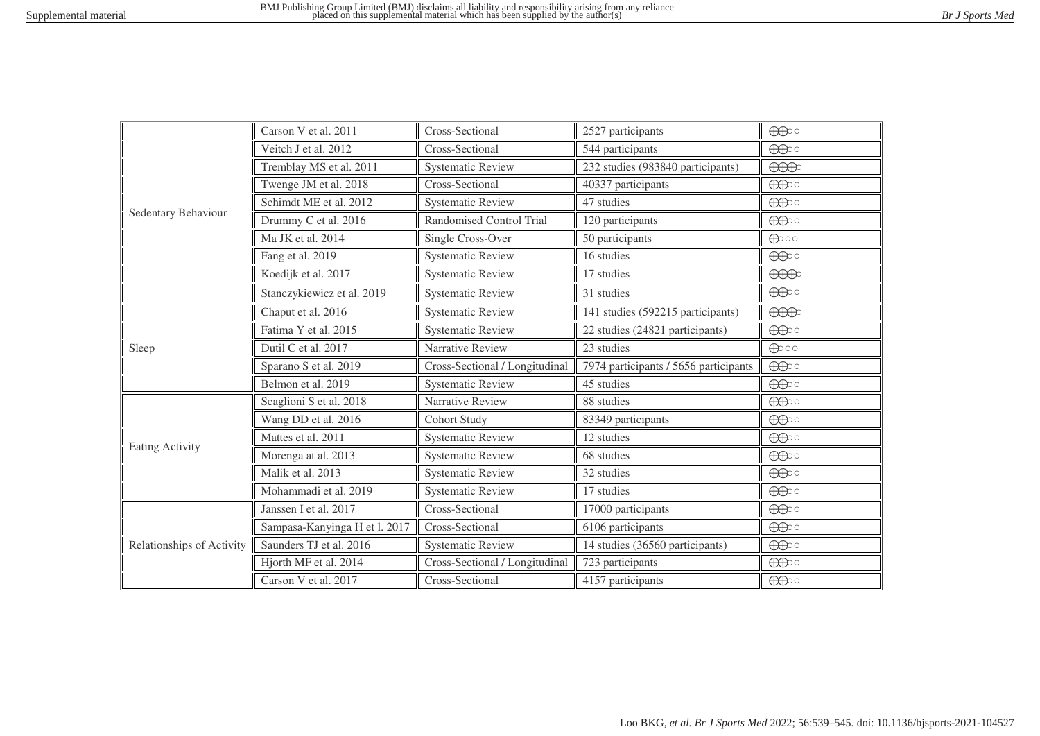|                           | Carson V et al. 2011          | Cross-Sectional                | 2527 participants                     | $\bigoplus$                          |
|---------------------------|-------------------------------|--------------------------------|---------------------------------------|--------------------------------------|
|                           | Veitch J et al. 2012          | Cross-Sectional                | 544 participants                      | $\bigoplus$                          |
|                           | Tremblay MS et al. 2011       | <b>Systematic Review</b>       | 232 studies (983840 participants)     | $\bigoplus\hspace{-0.18cm}\bigoplus$ |
|                           | Twenge JM et al. 2018         | Cross-Sectional                | 40337 participants                    | $\bigoplus$                          |
|                           | Schimdt ME et al. 2012        | <b>Systematic Review</b>       | 47 studies                            | $\bigoplus$                          |
| Sedentary Behaviour       | Drummy C et al. 2016          | Randomised Control Trial       | 120 participants                      | $\bigoplus$                          |
|                           | Ma JK et al. 2014             | Single Cross-Over              | 50 participants                       | $\bigoplus$ 00                       |
|                           | Fang et al. 2019              | <b>Systematic Review</b>       | 16 studies                            | $\bigoplus$                          |
|                           | Koedijk et al. 2017           | <b>Systematic Review</b>       | 17 studies                            | $\bigoplus\hspace{-0.15cm}\bigoplus$ |
|                           | Stanczykiewicz et al. 2019    | <b>Systematic Review</b>       | 31 studies                            | $\bigoplus$                          |
|                           | Chaput et al. 2016            | <b>Systematic Review</b>       | 141 studies (592215 participants)     | $\bigoplus\limits_{n=1}^{\infty}$    |
|                           | Fatima Y et al. 2015          | <b>Systematic Review</b>       | 22 studies (24821 participants)       | $\bigoplus$                          |
| Sleep                     | Dutil C et al. 2017           | Narrative Review               | 23 studies                            | $\bigoplus$ 00                       |
|                           | Sparano S et al. 2019         | Cross-Sectional / Longitudinal | 7974 participants / 5656 participants | $\bigoplus$                          |
|                           | Belmon et al. 2019            | <b>Systematic Review</b>       | 45 studies                            | $\bigoplus$                          |
|                           | Scaglioni S et al. 2018       | Narrative Review               | 88 studies                            | $\bigoplus$                          |
|                           | Wang DD et al. 2016           | <b>Cohort Study</b>            | 83349 participants                    | $\bigoplus$                          |
| <b>Eating Activity</b>    | Mattes et al. 2011            | <b>Systematic Review</b>       | 12 studies                            | $\bigoplus$                          |
|                           | Morenga at al. 2013           | <b>Systematic Review</b>       | 68 studies                            | $\bigoplus$                          |
|                           | Malik et al. 2013             | <b>Systematic Review</b>       | 32 studies                            | $\bigoplus$                          |
|                           | Mohammadi et al. 2019         | <b>Systematic Review</b>       | 17 studies                            | $\bigoplus$                          |
| Relationships of Activity | Janssen I et al. 2017         | Cross-Sectional                | 17000 participants                    | $\bigoplus$                          |
|                           | Sampasa-Kanyinga H et l. 2017 | Cross-Sectional                | 6106 participants                     | $\bigoplus$                          |
|                           | Saunders TJ et al. 2016       | <b>Systematic Review</b>       | 14 studies (36560 participants)       | $\bigoplus$                          |
|                           | Hjorth MF et al. 2014         | Cross-Sectional / Longitudinal | 723 participants                      | $\bigoplus$                          |
|                           | Carson V et al. 2017          | Cross-Sectional                | 4157 participants                     | $\bigoplus$                          |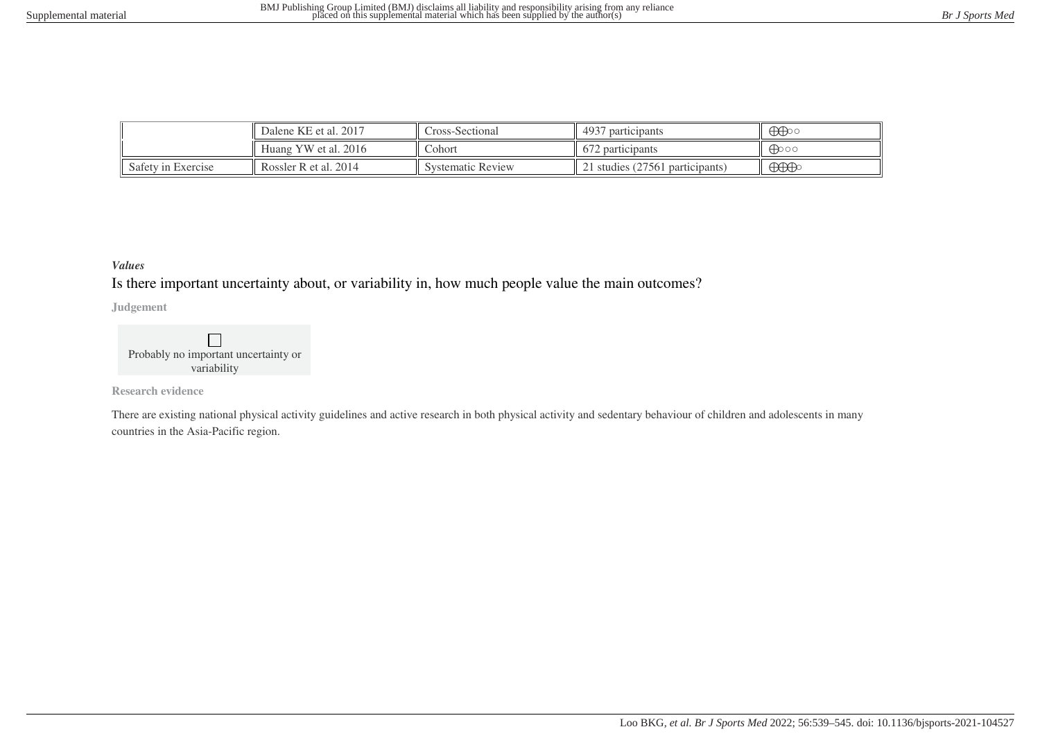|                    | Dalene KE et al. 2017 | 4937<br>Cross-Sectional<br>participants |                                | $\bigoplus$                                                                                                                                                                                                                                                                                                                                                                                                                              |
|--------------------|-----------------------|-----------------------------------------|--------------------------------|------------------------------------------------------------------------------------------------------------------------------------------------------------------------------------------------------------------------------------------------------------------------------------------------------------------------------------------------------------------------------------------------------------------------------------------|
|                    | Huang YW et al. 2016  | Cohort                                  | $\sqrt{2}$<br>672 participants | ക്കാറ                                                                                                                                                                                                                                                                                                                                                                                                                                    |
| Safety in Exercise | Rossler R et al. 2014 | <b>Systematic Review</b>                | 1 studies (27561 participants) | $\bigoplus\hspace{-0.18cm}\bigoplus\hspace{-0.18cm}\bigoplus\hspace{-0.18cm}\bigoplus\hspace{-0.18cm}\bigoplus\hspace{-0.18cm}\bigoplus\hspace{-0.18cm}\bigoplus\hspace{-0.18cm}\bigoplus\hspace{-0.18cm}\bigoplus\hspace{-0.18cm}\bigoplus\hspace{-0.18cm}\bigoplus\hspace{-0.18cm}\bigoplus\hspace{-0.18cm}\bigoplus\hspace{-0.18cm}\bigoplus\hspace{-0.18cm}\bigoplus\hspace{-0.18cm}\bigoplus\hspace{-0.18cm}\bigoplus\hspace{-0.18$ |

### *Values*

Is there important uncertainty about, or variability in, how much people value the main outcomes?

**Judgement**

 $\Box$ Probably no important uncertainty or variability

**Research evidence**

There are existing national physical activity guidelines and active research in both physical activity and sedentary behaviour of children and adolescents in many countries in the Asia-Pacific region.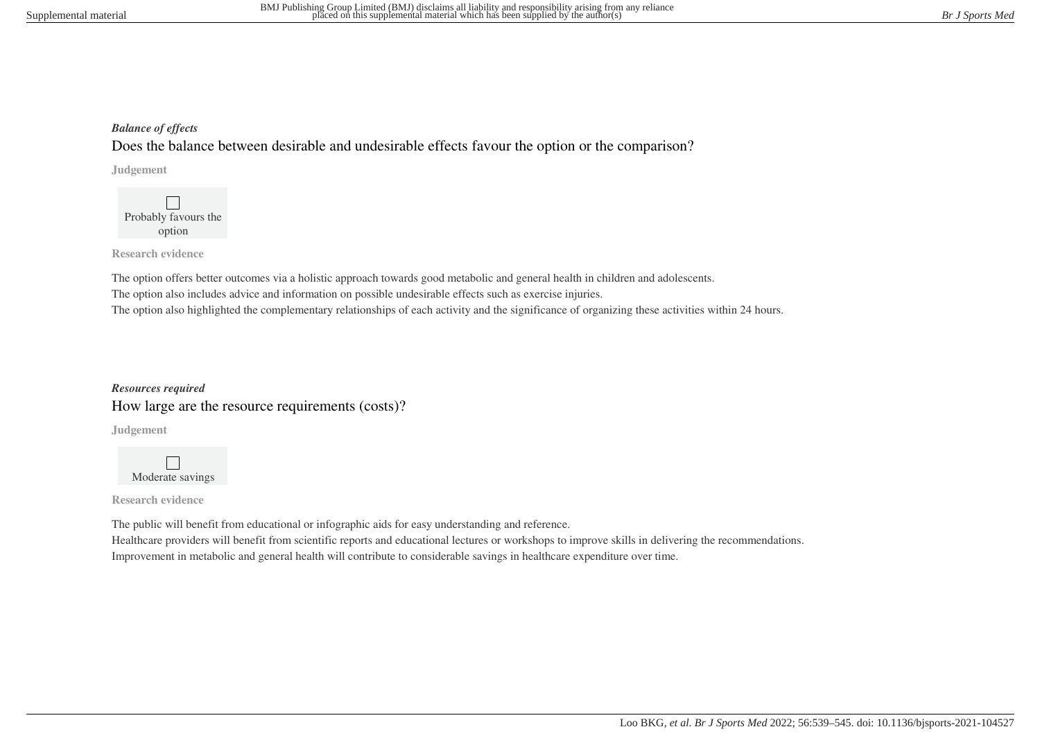### *Balance of effects*

Does the balance between desirable and undesirable effects favour the option or the comparison?

**Judgement**

 $\Box$ Probably favours the option

**Research evidence**

The option offers better outcomes via a holistic approach towards good metabolic and general health in children and adolescents. The option also includes advice and information on possible undesirable effects such as exercise injuries. The option also highlighted the complementary relationships of each activity and the significance of organizing these activities within 24 hours.

*Resources required* How large are the resource requirements (costs)?

**Judgement**

 $\Box$ Moderate savings

**Research evidence**

The public will benefit from educational or infographic aids for easy understanding and reference. Healthcare providers will benefit from scientific reports and educational lectures or workshops to improve skills in delivering the recommendations. Improvement in metabolic and general health will contribute to considerable savings in healthcare expenditure over time.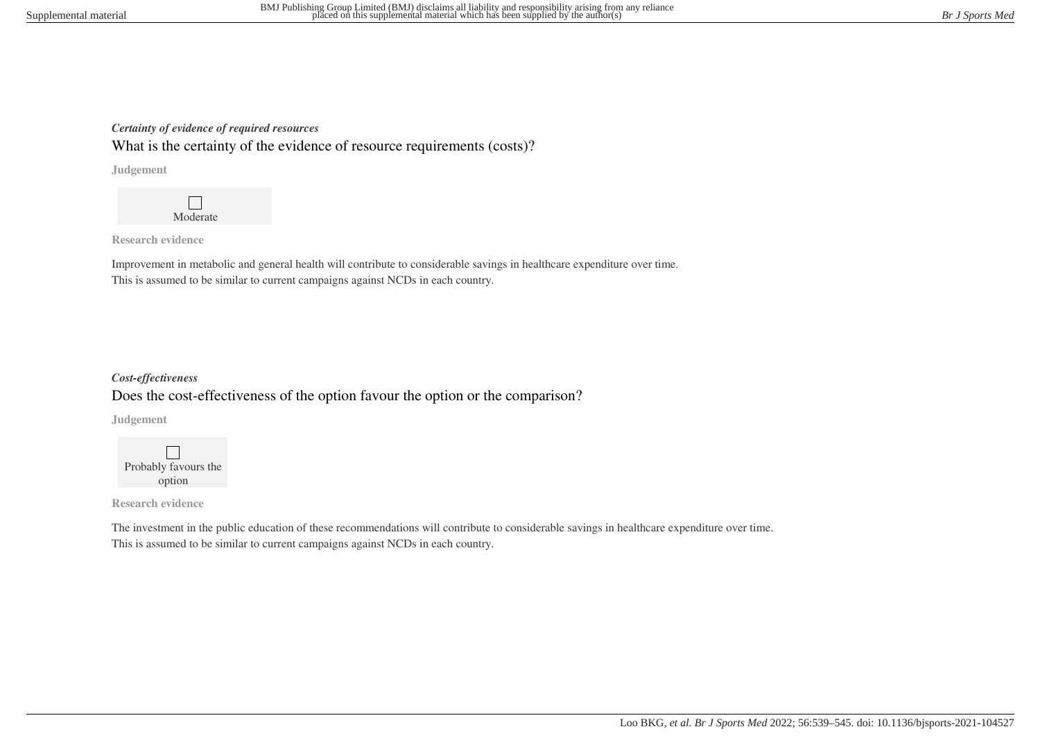### *Certainty of evidence of required resources*

What is the certainty of the evidence of resource requirements (costs)?

**Judgement**



**Research evidence**

Improvement in metabolic and general health will contribute to considerable savings in healthcare expenditure over time. This is assumed to be similar to current campaigns against NCDs in each country.

# *Cost-effectiveness* Does the cost-effectiveness of the option favour the option or the comparison?

**Judgement**



**Research evidence**

The investment in the public education of these recommendations will contribute to considerable savings in healthcare expenditure over time. This is assumed to be similar to current campaigns against NCDs in each country.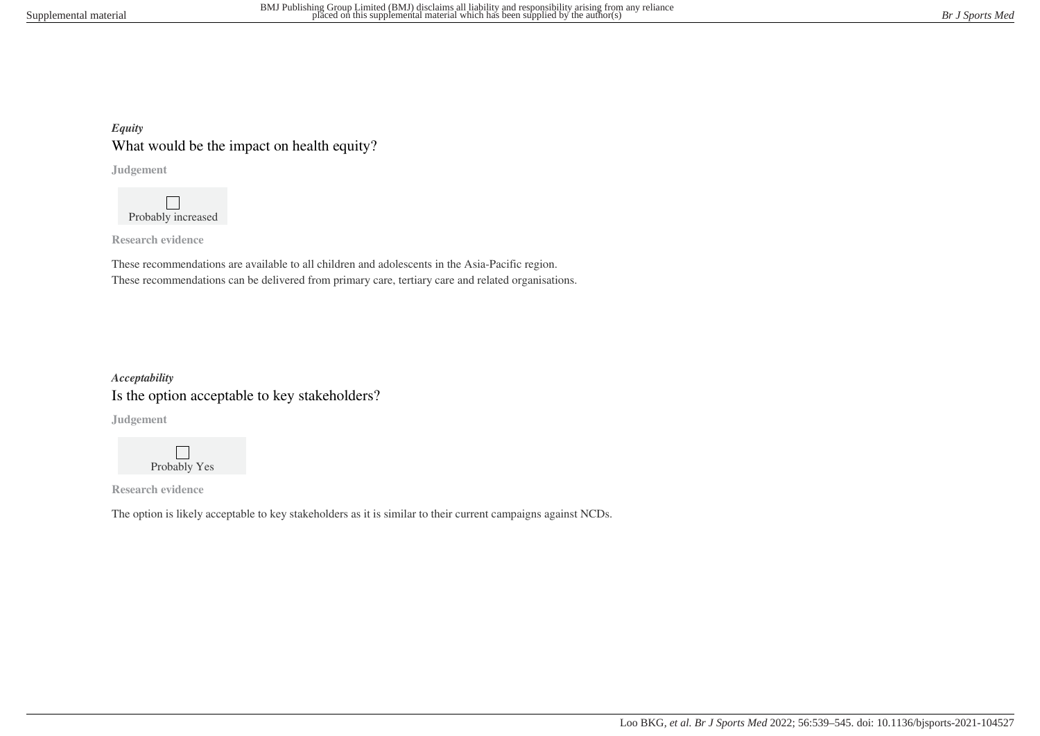## *Equity* What would be the impact on health equity?

**Judgement**

 $\Box$ Probably increased

**Research evidence**

These recommendations are available to all children and adolescents in the Asia-Pacific region. These recommendations can be delivered from primary care, tertiary care and related organisations.

# *Acceptability* Is the option acceptable to key stakeholders?

**Judgement**



**Research evidence**

The option is likely acceptable to key stakeholders as it is similar to their current campaigns against NCDs.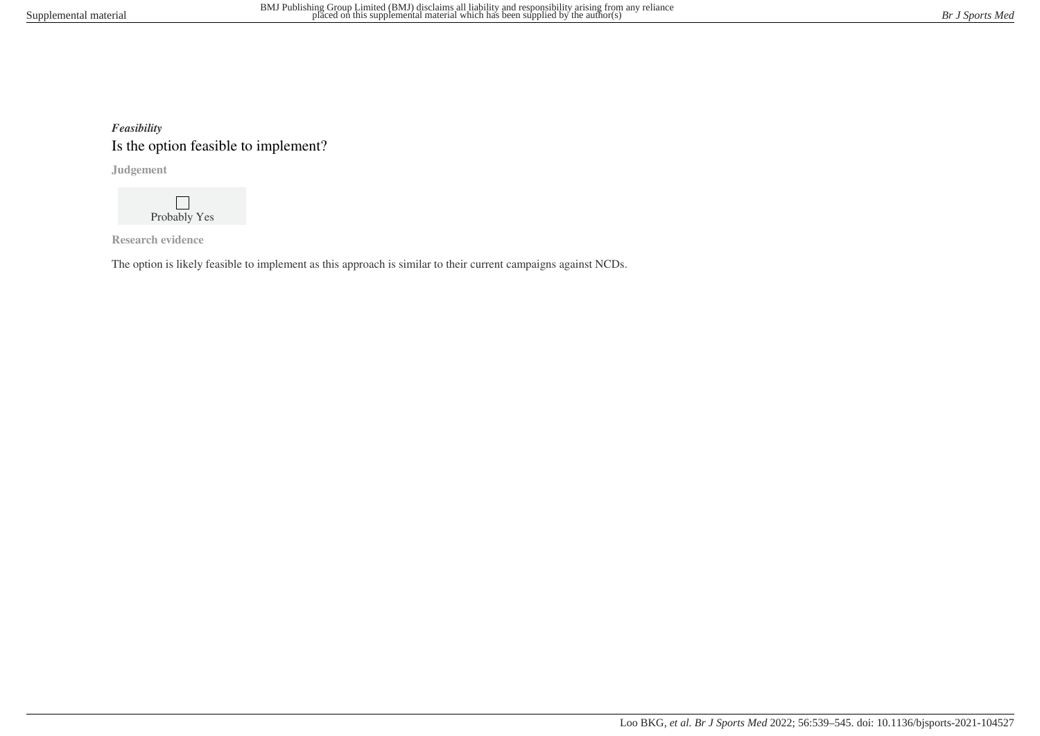# *Feasibility* Is the option feasible to implement?

**Judgement**

 $\mathbf{L}$ Probably Yes

**Research evidence**

The option is likely feasible to implement as this approach is similar to their current campaigns against NCDs.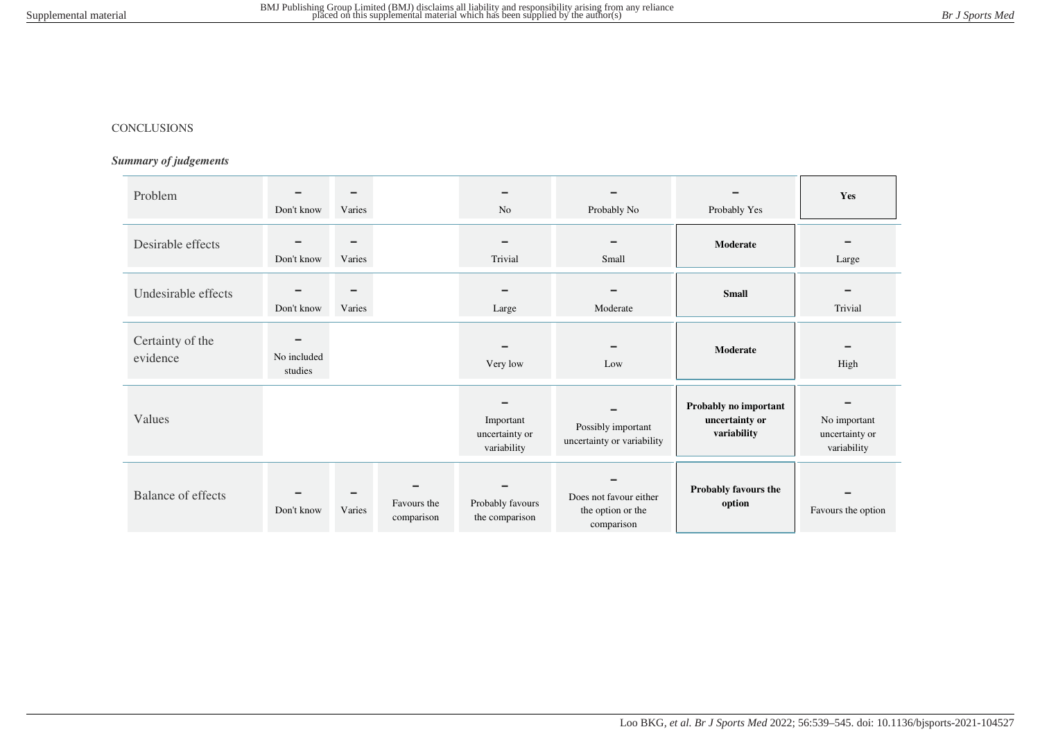#### CONCLUSIONS

### *Summary of judgements*

| Problem                      | $\equiv$<br>Don't know             | $\equiv$<br>Varies |                           | N <sub>o</sub>                             | $\equiv$<br>Probably No                                   | Probably Yes                                           | Yes                                           |
|------------------------------|------------------------------------|--------------------|---------------------------|--------------------------------------------|-----------------------------------------------------------|--------------------------------------------------------|-----------------------------------------------|
| Desirable effects            | Don't know                         | $\equiv$<br>Varies |                           | Trivial                                    | Small                                                     | Moderate                                               | Large                                         |
| Undesirable effects          | Don't know                         | $\equiv$<br>Varies |                           | Large                                      | Moderate                                                  | <b>Small</b>                                           | Trivial                                       |
| Certainty of the<br>evidence | $\equiv$<br>No included<br>studies |                    |                           | Very low                                   | Low                                                       | Moderate                                               | High                                          |
| Values                       |                                    |                    |                           | Important<br>uncertainty or<br>variability | Possibly important<br>uncertainty or variability          | Probably no important<br>uncertainty or<br>variability | No important<br>uncertainty or<br>variability |
| <b>Balance of effects</b>    | Don't know                         | Varies             | Favours the<br>comparison | Probably favours<br>the comparison         | Does not favour either<br>the option or the<br>comparison | Probably favours the<br>option                         | Favours the option                            |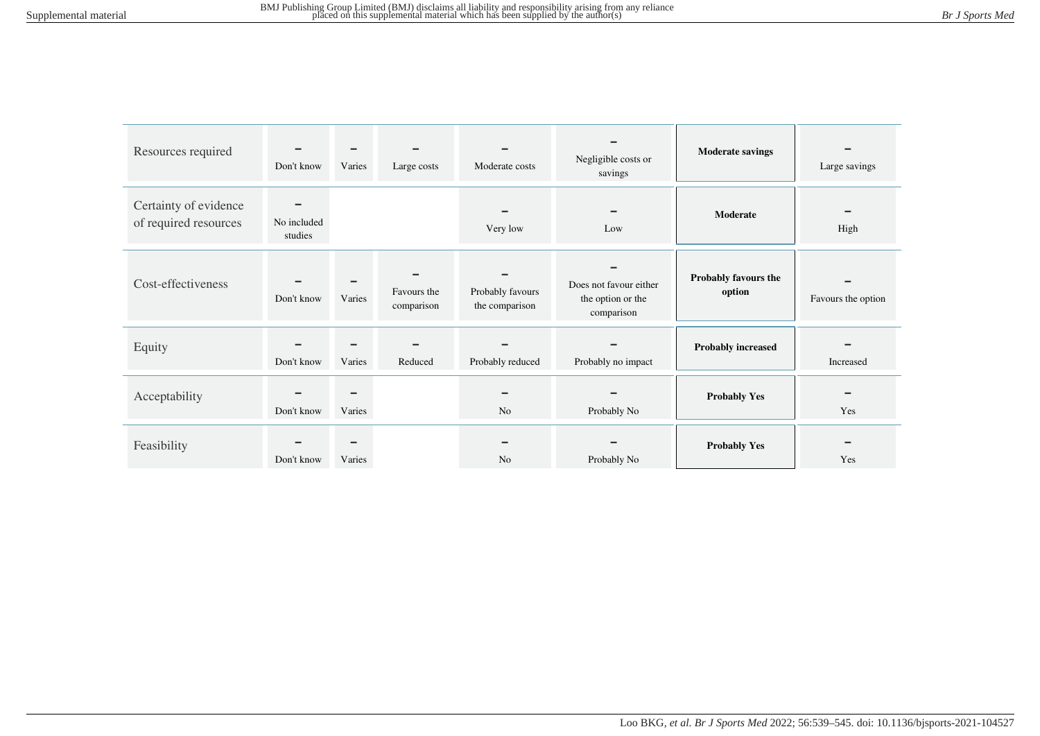| Resources required                             | Don't know                         | Varies             | Large costs               | Moderate costs                     | Negligible costs or<br>savings                            | <b>Moderate savings</b>        | Large savings      |
|------------------------------------------------|------------------------------------|--------------------|---------------------------|------------------------------------|-----------------------------------------------------------|--------------------------------|--------------------|
| Certainty of evidence<br>of required resources | $\equiv$<br>No included<br>studies |                    |                           | Very low                           | <b>COL</b><br>Low                                         | Moderate                       | High               |
| Cost-effectiveness                             | Don't know                         | Varies             | Favours the<br>comparison | Probably favours<br>the comparison | Does not favour either<br>the option or the<br>comparison | Probably favours the<br>option | Favours the option |
| Equity                                         | Don't know                         | Varies             | Reduced                   | Probably reduced                   | Probably no impact                                        | <b>Probably increased</b>      | Increased          |
| Acceptability                                  | Don't know                         | Varies             |                           | N <sub>o</sub>                     | Probably No                                               | <b>Probably Yes</b>            | Yes                |
| Feasibility                                    | Don't know                         | $\equiv$<br>Varies |                           | N <sub>o</sub>                     | Probably No                                               | <b>Probably Yes</b>            | Yes                |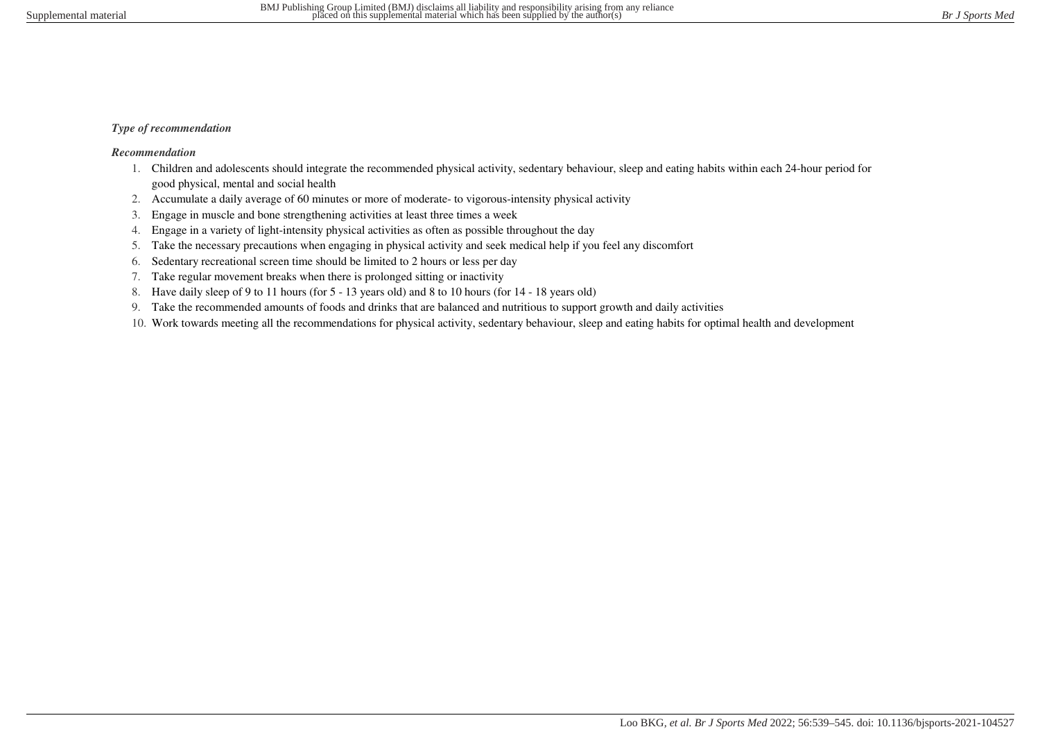### *Type of recommendation*

### *Recommendation*

- 1. Children and adolescents should integrate the recommended physical activity, sedentary behaviour, sleep and eating habits within each 24-hour period for good physical, mental and social health
- 2. Accumulate a daily average of 60 minutes or more of moderate- to vigorous-intensity physical activity
- 3. Engage in muscle and bone strengthening activities at least three times a week
- 4. Engage in a variety of light-intensity physical activities as often as possible throughout the day
- 5. Take the necessary precautions when engaging in physical activity and seek medical help if you feel any discomfort
- 6. Sedentary recreational screen time should be limited to 2 hours or less per day
- 7. Take regular movement breaks when there is prolonged sitting or inactivity
- 8. Have daily sleep of 9 to 11 hours (for 5 13 years old) and 8 to 10 hours (for 14 18 years old)
- 9. Take the recommended amounts of foods and drinks that are balanced and nutritious to support growth and daily activities
- 10. Work towards meeting all the recommendations for physical activity, sedentary behaviour, sleep and eating habits for optimal health and development